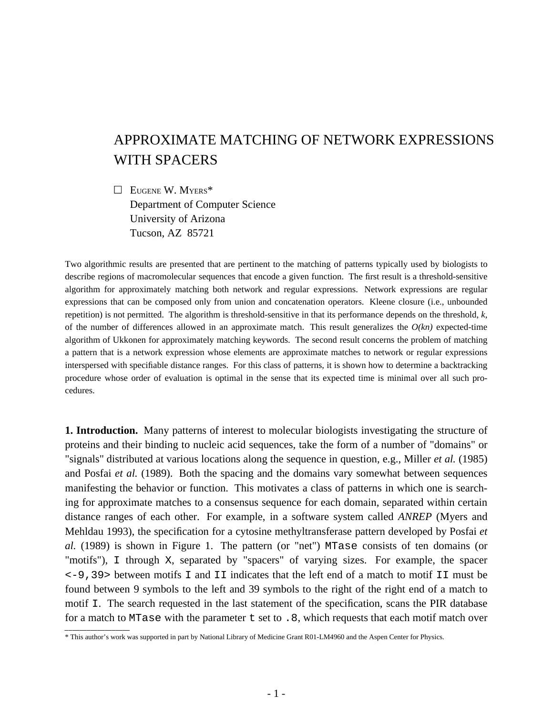## APPROXIMATE MATCHING OF NETWORK EXPRESSIONS WITH SPACERS

 $\Box$  EUGENE W. MYERS\* Department of Computer Science University of Arizona Tucson, AZ 85721

Two algorithmic results are presented that are pertinent to the matching of patterns typically used by biologists to describe regions of macromolecular sequences that encode a given function. The first result is a threshold-sensitive algorithm for approximately matching both network and regular expressions. Network expressions are regular expressions that can be composed only from union and concatenation operators. Kleene closure (i.e., unbounded repetition) is not permitted. The algorithm is threshold-sensitive in that its performance depends on the threshold, *k*, of the number of differences allowed in an approximate match. This result generalizes the  $O(kn)$  expected-time algorithm of Ukkonen for approximately matching keywords. The second result concerns the problem of matching a pattern that is a network expression whose elements are approximate matches to network or regular expressions interspersed with specifiable distance ranges. For this class of patterns, it is shown how to determine a backtracking procedure whose order of evaluation is optimal in the sense that its expected time is minimal over all such procedures.

**1. Introduction.** Many patterns of interest to molecular biologists investigating the structure of proteins and their binding to nucleic acid sequences, take the form of a number of "domains" or "signals" distributed at various locations along the sequence in question, e.g., Miller *et al.* (1985) and Posfai *et al.* (1989). Both the spacing and the domains vary somewhat between sequences manifesting the behavior or function. This motivates a class of patterns in which one is searching for approximate matches to a consensus sequence for each domain, separated within certain distance ranges of each other. For example, in a software system called *ANREP* (Myers and Mehldau 1993), the specification for a cytosine methyltransferase pattern developed by Posfai *et al.* (1989) is shown in Figure 1. The pattern (or "net") MTase consists of ten domains (or "motifs"), I through X, separated by "spacers" of varying sizes. For example, the spacer <-9,39> between motifs I and II indicates that the left end of a match to motif II must be found between 9 symbols to the left and 39 symbols to the right of the right end of a match to motif I. The search requested in the last statement of the specification, scans the PIR database for a match to MTase with the parameter  $t$  set to . 8, which requests that each motif match over

<sup>\*</sup> This author's work was supported in part by National Library of Medicine Grant R01-LM4960 and the Aspen Center for Physics.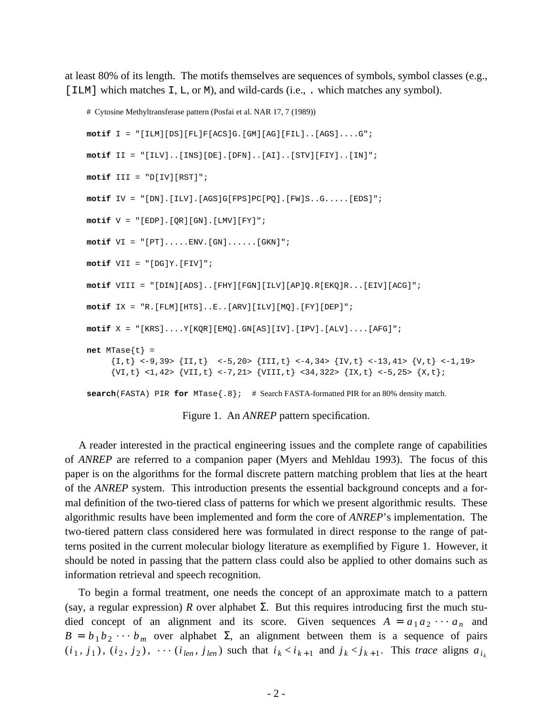at least 80% of its length. The motifs themselves are sequences of symbols, symbol classes (e.g., [ILM] which matches I, L, or M), and wild-cards (i.e., . which matches any symbol).

```
# Cytosine Methyltransferase pattern (Posfai et al. NAR 17, 7 (1989))
motif I = "[ILM][DS][FL]F[ACS]G.[GM][AG][FIL]..[AGS]....G";
motif II = "[ILV]..[INS][DE].[DFN]..[AI]..[STV][FIY]..[IN]";
motif III = "D[IV][RST]";
motif IV = "[DN].[ILV].[AGS]G[FPS]PC[PQ].[FW]S..G.....[EDS]";
motif V = "[EDP].[QR][GN].[LMV][FY]";
motif VI = "[PT].....ENV.[GN]......[GKN]";
motif VII = "[DG]Y.[FIV]";
motif VIII = "[DIN][ADS]..[FHY][FGN][ILV][AP]Q.R[EKQ]R...[EIV][ACG]";
motif IX = "R.[FLM][HTS]..E..[ARV][ILV][MQ].[FY][DEP]";
motif X = "[KRS]....Y[KQR][EMQ].GN[AS][IV].[IPV].[ALV]....[AFG]";
net MTase\{t\} =
     \{I, t\} <-9,39> \{II, t\} <-5,20> \{III, t\} <-4,34> \{IV, t\} <-13,41> \{V, t\} <-1,19>
     \{VI, t\} <1,42> \{VII, t\} <-7,21> \{VIII, t\} <34,322> \{IX, t\} <-5,25> \{X, t\};
search(FASTA) PIR for MTase{.8}; # Search FASTA-formatted PIR for an 80% density match.
```
Figure 1. An *ANREP* pattern specification.

A reader interested in the practical engineering issues and the complete range of capabilities of *ANREP* are referred to a companion paper (Myers and Mehldau 1993). The focus of this paper is on the algorithms for the formal discrete pattern matching problem that lies at the heart of the *ANREP* system. This introduction presents the essential background concepts and a formal definition of the two-tiered class of patterns for which we present algorithmic results. These algorithmic results have been implemented and form the core of *ANREP*'s implementation. The two-tiered pattern class considered here was formulated in direct response to the range of patterns posited in the current molecular biology literature as exemplified by Figure 1. However, it should be noted in passing that the pattern class could also be applied to other domains such as information retrieval and speech recognition.

To begin a formal treatment, one needs the concept of an approximate match to a pattern (say, a regular expression) *R* over alphabet  $\Sigma$ . But this requires introducing first the much studied concept of an alignment and its score. Given sequences  $A = a_1 a_2 \cdots a_n$  and  $B = b_1 b_2 \cdots b_m$  over alphabet  $\Sigma$ , an alignment between them is a sequence of pairs  $(i_1, j_1)$ ,  $(i_2, j_2)$ ,  $\cdots$   $(i_{len}, j_{len})$  such that  $i_k < i_{k+1}$  and  $j_k < j_{k+1}$ . This trace aligns  $a_{i_k}$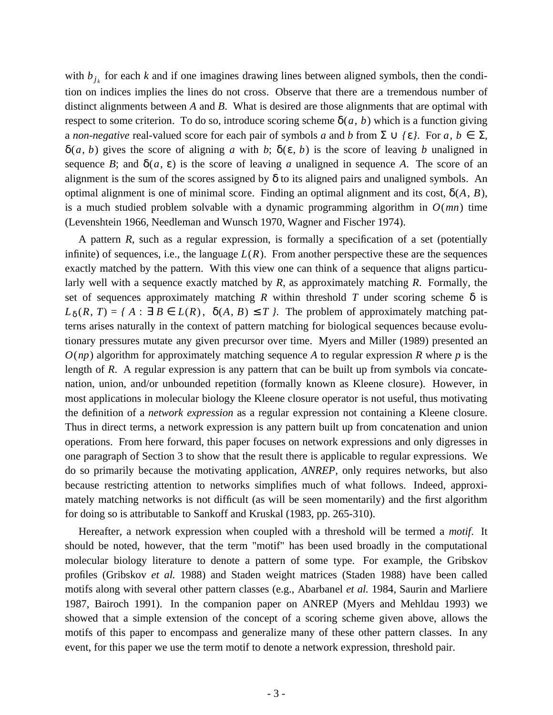with  $b_{j_k}$  for each *k* and if one imagines drawing lines between aligned symbols, then the condition on indices implies the lines do not cross. Observe that there are a tremendous number of distinct alignments between *A* and *B*. What is desired are those alignments that are optimal with respect to some criterion. To do so, introduce scoring scheme  $\delta(a, b)$  which is a function giving a *non-negative* real-valued score for each pair of symbols *a* and *b* from  $\Sigma \cup {\epsilon}$ . For *a*,  $b \in \Sigma$ ,  $\delta(a, b)$  gives the score of aligning *a* with *b*;  $\delta(\varepsilon, b)$  is the score of leaving *b* unaligned in sequence *B*; and  $\delta(a, \varepsilon)$  is the score of leaving *a* unaligned in sequence *A*. The score of an alignment is the sum of the scores assigned by  $\delta$  to its aligned pairs and unaligned symbols. An optimal alignment is one of minimal score. Finding an optimal alignment and its cost, δ(*A*, *B*), is a much studied problem solvable with a dynamic programming algorithm in  $O(mn)$  time (Levenshtein 1966, Needleman and Wunsch 1970, Wagner and Fischer 1974).

A pattern *R*, such as a regular expression, is formally a specification of a set (potentially infinite) of sequences, i.e., the language  $L(R)$ . From another perspective these are the sequences exactly matched by the pattern. With this view one can think of a sequence that aligns particularly well with a sequence exactly matched by *R*, as approximately matching *R*. Formally, the set of sequences approximately matching  $R$  within threshold  $T$  under scoring scheme  $\delta$  is  $L_{\delta}(R, T) = \{ A : \exists B \in L(R), \delta(A, B) \leq T \}$ . The problem of approximately matching patterns arises naturally in the context of pattern matching for biological sequences because evolutionary pressures mutate any given precursor over time. Myers and Miller (1989) presented an  $O(np)$  algorithm for approximately matching sequence *A* to regular expression *R* where *p* is the length of *R*. A regular expression is any pattern that can be built up from symbols via concatenation, union, and/or unbounded repetition (formally known as Kleene closure). However, in most applications in molecular biology the Kleene closure operator is not useful, thus motivating the definition of a *network expression* as a regular expression not containing a Kleene closure. Thus in direct terms, a network expression is any pattern built up from concatenation and union operations. From here forward, this paper focuses on network expressions and only digresses in one paragraph of Section 3 to show that the result there is applicable to regular expressions. We do so primarily because the motivating application, *ANREP*, only requires networks, but also because restricting attention to networks simplifies much of what follows. Indeed, approximately matching networks is not difficult (as will be seen momentarily) and the first algorithm for doing so is attributable to Sankoff and Kruskal (1983, pp. 265-310).

Hereafter, a network expression when coupled with a threshold will be termed a *motif*. It should be noted, however, that the term "motif" has been used broadly in the computational molecular biology literature to denote a pattern of some type. For example, the Gribskov profiles (Gribskov *et al.* 1988) and Staden weight matrices (Staden 1988) have been called motifs along with several other pattern classes (e.g., Abarbanel *et al.* 1984, Saurin and Marliere 1987, Bairoch 1991). In the companion paper on ANREP (Myers and Mehldau 1993) we showed that a simple extension of the concept of a scoring scheme given above, allows the motifs of this paper to encompass and generalize many of these other pattern classes. In any event, for this paper we use the term motif to denote a network expression, threshold pair.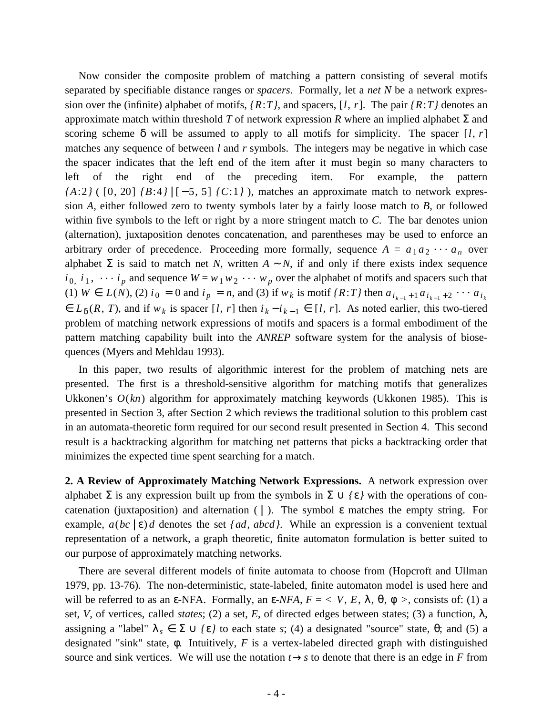Now consider the composite problem of matching a pattern consisting of several motifs separated by specifiable distance ranges or *spacers*. Formally, let a *net N* be a network expression over the (infinite) alphabet of motifs, *{R*:*T}*, and spacers, [*l*, *r*]. The pair *{R*:*T}* denotes an approximate match within threshold *T* of network expression *R* where an implied alphabet Σ and scoring scheme  $\delta$  will be assumed to apply to all motifs for simplicity. The spacer [*l*, *r*] matches any sequence of between *l* and *r* symbols. The integers may be negative in which case the spacer indicates that the left end of the item after it must begin so many characters to left of the right end of the preceding item. For example, the pattern *{A*:2*}* ( [0, 20] *{B*:4*}* | [−5, 5] *{C*:1*}* ), matches an approximate match to network expression *A*, either followed zero to twenty symbols later by a fairly loose match to *B*, or followed within five symbols to the left or right by a more stringent match to *C*. The bar denotes union (alternation), juxtaposition denotes concatenation, and parentheses may be used to enforce an arbitrary order of precedence. Proceeding more formally, sequence  $A = a_1 a_2 \cdots a_n$  over alphabet  $\Sigma$  is said to match net *N*, written  $A \sim N$ , if and only if there exists index sequence  $i_0$ ,  $i_1$ ,  $\dots$   $i_p$  and sequence  $W = w_1 w_2 \dots w_p$  over the alphabet of motifs and spacers such that (1)  $W \in L(N)$ , (2)  $i_0 = 0$  and  $i_p = n$ , and (3) if  $w_k$  is motif  $\{R: T\}$  then  $a_{i_{k-1}+1} a_{i_{k-1}+2} \cdots a_{i_k}$  $\in L_{\delta}(R, T)$ , and if  $w_k$  is spacer [*l*, *r*] then  $i_k - i_{k-1} \in [l, r]$ . As noted earlier, this two-tiered problem of matching network expressions of motifs and spacers is a formal embodiment of the pattern matching capability built into the *ANREP* software system for the analysis of biosequences (Myers and Mehldau 1993).

In this paper, two results of algorithmic interest for the problem of matching nets are presented. The first is a threshold-sensitive algorithm for matching motifs that generalizes Ukkonen's  $O(kn)$  algorithm for approximately matching keywords (Ukkonen 1985). This is presented in Section 3, after Section 2 which reviews the traditional solution to this problem cast in an automata-theoretic form required for our second result presented in Section 4. This second result is a backtracking algorithm for matching net patterns that picks a backtracking order that minimizes the expected time spent searching for a match.

**2. A Review of Approximately Matching Network Expressions.** A network expression over alphabet  $\Sigma$  is any expression built up from the symbols in  $\Sigma \cup {\{\epsilon\}}$  with the operations of concatenation (juxtaposition) and alternation ( $\vert$ ). The symbol  $\varepsilon$  matches the empty string. For example,  $a(bc \mid \varepsilon) d$  denotes the set  $\{ad, abcd\}$ . While an expression is a convenient textual representation of a network, a graph theoretic, finite automaton formulation is better suited to our purpose of approximately matching networks.

There are several different models of finite automata to choose from (Hopcroft and Ullman 1979, pp. 13-76). The non-deterministic, state-labeled, finite automaton model is used here and will be referred to as an  $\epsilon$ -NFA. Formally, an  $\epsilon$ -NFA,  $F = \langle V, E, \lambda, \theta, \phi \rangle$ , consists of: (1) a set, *V*, of vertices, called *states*; (2) a set, *E*, of directed edges between states; (3) a function, λ, assigning a "label"  $\lambda_s \in \Sigma \cup \{\varepsilon\}$  to each state *s*; (4) a designated "source" state,  $\theta$ ; and (5) a designated "sink" state, φ. Intuitively, *F* is a vertex-labeled directed graph with distinguished source and sink vertices. We will use the notation  $t \rightarrow s$  to denote that there is an edge in *F* from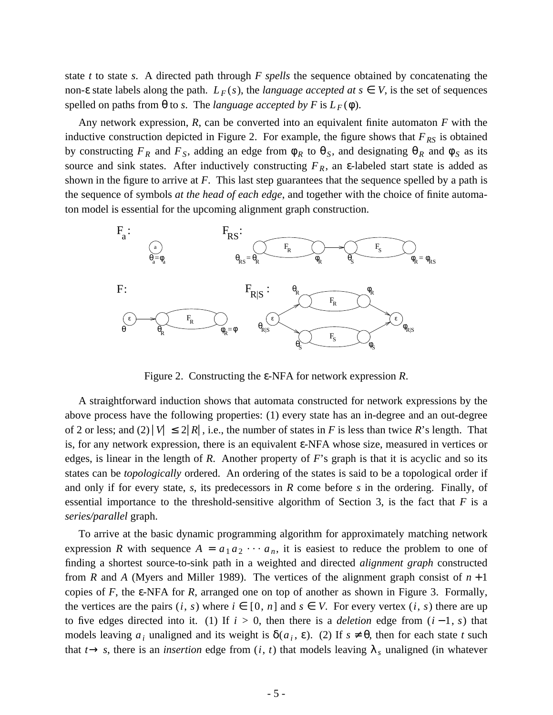state *t* to state *s*. A directed path through *F spells* the sequence obtained by concatenating the non- $\varepsilon$  state labels along the path.  $L_F(s)$ , the *language accepted at*  $s \in V$ , is the set of sequences spelled on paths from  $\theta$  to *s*. The *language accepted by F* is  $L_F(\phi)$ .

Any network expression, *R*, can be converted into an equivalent finite automaton *F* with the inductive construction depicted in Figure 2. For example, the figure shows that  $F_{RS}$  is obtained by constructing  $F_R$  and  $F_S$ , adding an edge from  $\phi_R$  to  $\theta_S$ , and designating  $\theta_R$  and  $\phi_S$  as its source and sink states. After inductively constructing  $F_R$ , an  $\varepsilon$ -labeled start state is added as shown in the figure to arrive at *F*. This last step guarantees that the sequence spelled by a path is the sequence of symbols *at the head of each edge*, and together with the choice of finite automaton model is essential for the upcoming alignment graph construction.



Figure 2. Constructing the ε-NFA for network expression *R*.

A straightforward induction shows that automata constructed for network expressions by the above process have the following properties: (1) every state has an in-degree and an out-degree of 2 or less; and (2)  $|V| \le 2|R|$ , i.e., the number of states in *F* is less than twice *R*'s length. That is, for any network expression, there is an equivalent ε-NFA whose size, measured in vertices or edges, is linear in the length of *R*. Another property of *F*'s graph is that it is acyclic and so its states can be *topologically* ordered. An ordering of the states is said to be a topological order if and only if for every state, *s*, its predecessors in *R* come before *s* in the ordering. Finally, of essential importance to the threshold-sensitive algorithm of Section 3, is the fact that *F* is a *series/parallel* graph.

To arrive at the basic dynamic programming algorithm for approximately matching network expression *R* with sequence  $A = a_1 a_2 \cdots a_n$ , it is easiest to reduce the problem to one of finding a shortest source-to-sink path in a weighted and directed *alignment graph* constructed from *R* and *A* (Myers and Miller 1989). The vertices of the alignment graph consist of  $n+1$ copies of *F*, the ε-NFA for *R*, arranged one on top of another as shown in Figure 3. Formally, the vertices are the pairs  $(i, s)$  where  $i \in [0, n]$  and  $s \in V$ . For every vertex  $(i, s)$  there are up to five edges directed into it. (1) If  $i > 0$ , then there is a *deletion* edge from  $(i - 1, s)$  that models leaving  $a_i$  unaligned and its weight is  $\delta(a_i, \varepsilon)$ . (2) If  $s \neq \theta$ , then for each state *t* such that  $t \rightarrow s$ , there is an *insertion* edge from  $(i, t)$  that models leaving  $\lambda_s$  unaligned (in whatever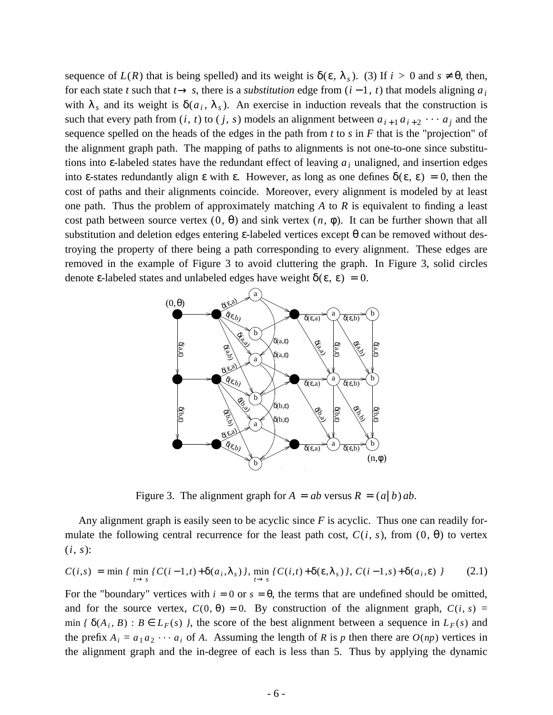sequence of  $L(R)$  that is being spelled) and its weight is  $\delta(\varepsilon, \lambda_s)$ . (3) If  $i > 0$  and  $s \neq \theta$ , then, for each state *t* such that  $t \rightarrow s$ , there is a *substitution* edge from  $(i - 1, t)$  that models aligning  $a_i$ with  $\lambda_s$  and its weight is  $\delta(a_i, \lambda_s)$ . An exercise in induction reveals that the construction is such that every path from  $(i, t)$  to  $(j, s)$  models an alignment between  $a_{i+1}a_{i+2} \cdots a_j$  and the sequence spelled on the heads of the edges in the path from *t* to *s* in *F* that is the "projection" of the alignment graph path. The mapping of paths to alignments is not one-to-one since substitutions into ε-labeled states have the redundant effect of leaving *a<sup>i</sup>* unaligned, and insertion edges into ε-states redundantly align ε with ε. However, as long as one defines  $\delta(\epsilon, \epsilon) = 0$ , then the cost of paths and their alignments coincide. Moreover, every alignment is modeled by at least one path. Thus the problem of approximately matching *A* to *R* is equivalent to finding a least cost path between source vertex  $(0, \theta)$  and sink vertex  $(n, \phi)$ . It can be further shown that all substitution and deletion edges entering  $\varepsilon$ -labeled vertices except  $\theta$  can be removed without destroying the property of there being a path corresponding to every alignment. These edges are removed in the example of Figure 3 to avoid cluttering the graph. In Figure 3, solid circles denote ε-labeled states and unlabeled edges have weight  $δ(ε, ε) = 0$ .



Figure 3. The alignment graph for  $A = ab$  versus  $R = (a \mid b) ab$ .

Any alignment graph is easily seen to be acyclic since *F* is acyclic. Thus one can readily formulate the following central recurrence for the least path cost,  $C(i, s)$ , from  $(0, \theta)$  to vertex  $(i, s)$ :

$$
C(i,s) = \min \{ \min_{t \to s} \{ C(i-1,t) + \delta(a_i,\lambda_s) \}, \min_{t \to s} \{ C(i,t) + \delta(\varepsilon,\lambda_s) \}, \, C(i-1,s) + \delta(a_i,\varepsilon) \} \tag{2.1}
$$

For the "boundary" vertices with  $i = 0$  or  $s = \theta$ , the terms that are undefined should be omitted, and for the source vertex,  $C(0, \theta) = 0$ . By construction of the alignment graph,  $C(i, s) =$ min *{*  $\delta(A_i, B)$  :  $B \in L_F(s)$  *}*, the score of the best alignment between a sequence in  $L_F(s)$  and the prefix  $A_i = a_1 a_2 \cdots a_i$  of *A*. Assuming the length of *R* is *p* then there are  $O(np)$  vertices in the alignment graph and the in-degree of each is less than 5. Thus by applying the dynamic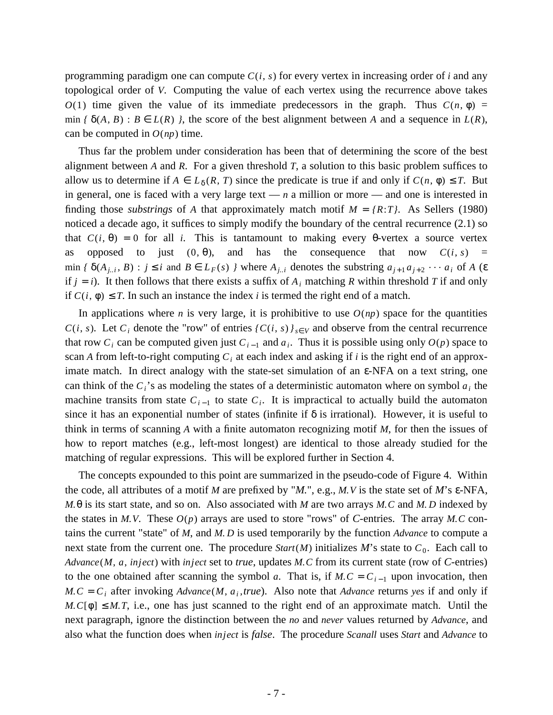programming paradigm one can compute  $C(i, s)$  for every vertex in increasing order of *i* and any topological order of *V*. Computing the value of each vertex using the recurrence above takes *O*(1) time given the value of its immediate predecessors in the graph. Thus  $C(n, \phi)$  = min  $f \delta(A, B)$ :  $B \in L(R)$  *}*, the score of the best alignment between *A* and a sequence in  $L(R)$ , can be computed in  $O(np)$  time.

Thus far the problem under consideration has been that of determining the score of the best alignment between *A* and *R*. For a given threshold *T*, a solution to this basic problem suffices to allow us to determine if  $A \in L_{\delta}(R, T)$  since the predicate is true if and only if  $C(n, \phi) \leq T$ . But in general, one is faced with a very large text — *n* a million or more — and one is interested in finding those *substrings* of *A* that approximately match motif  $M = \{R: T\}$ . As Sellers (1980) noticed a decade ago, it suffices to simply modify the boundary of the central recurrence (2.1) so that  $C(i, \theta) = 0$  for all *i*. This is tantamount to making every  $\theta$ -vertex a source vertex as opposed to just  $(0, \theta)$ , and has the consequence that now  $C(i, s)$  = min  $\{\delta(A_{j,i}, B) : j \le i \text{ and } B \in L_F(s) \}$  where  $A_{j,i}$  denotes the substring  $a_{j+1}a_{j+2} \cdots a_i$  of A ( $\varepsilon$ if  $j = i$ ). It then follows that there exists a suffix of  $A_i$  matching  $R$  within threshold  $T$  if and only if  $C(i, \phi) \leq T$ . In such an instance the index *i* is termed the right end of a match.

In applications where *n* is very large, it is prohibitive to use  $O(np)$  space for the quantities *C*(*i*, *s*). Let *C*<sub>*i*</sub> denote the "row" of entries  $\{C(i, s)\}_{s \in V}$  and observe from the central recurrence that row  $C_i$  can be computed given just  $C_{i-1}$  and  $a_i$ . Thus it is possible using only  $O(p)$  space to scan *A* from left-to-right computing  $C_i$  at each index and asking if *i* is the right end of an approximate match. In direct analogy with the state-set simulation of an ε-NFA on a text string, one can think of the  $C_i$ 's as modeling the states of a deterministic automaton where on symbol  $a_i$  the machine transits from state  $C_{i-1}$  to state  $C_i$ . It is impractical to actually build the automaton since it has an exponential number of states (infinite if  $\delta$  is irrational). However, it is useful to think in terms of scanning *A* with a finite automaton recognizing motif *M*, for then the issues of how to report matches (e.g., left-most longest) are identical to those already studied for the matching of regular expressions. This will be explored further in Section 4.

The concepts expounded to this point are summarized in the pseudo-code of Figure 4. Within the code, all attributes of a motif *M* are prefixed by "*M.*", e.g., *M.V* is the state set of *M*'s ε-NFA, *M.*θ is its start state, and so on. Also associated with *M* are two arrays *M.C* and *M. D* indexed by the states in *M.V.* These  $O(p)$  arrays are used to store "rows" of *C*-entries. The array *M.C* contains the current "state" of *M*, and *M. D* is used temporarily by the function *Advance* to compute a next state from the current one. The procedure  $Start(M)$  initializes M's state to  $C_0$ . Each call to *Advance*(*M*, *a*, *inject*) with *inject* set to *true*, updates *M.C* from its current state (row of *C*-entries) to the one obtained after scanning the symbol *a*. That is, if  $M.C = C_{i-1}$  upon invocation, then  $M.C = C_i$  after invoking  $Advance(M, a_i, true)$ . Also note that  $Advance$  returns *yes* if and only if  $M.C[\phi] \leq M.T$ , i.e., one has just scanned to the right end of an approximate match. Until the next paragraph, ignore the distinction between the *no* and *never* values returned by *Advance*, and also what the function does when *inject* is *false*. The procedure *Scanall* uses *Start* and *Advance* to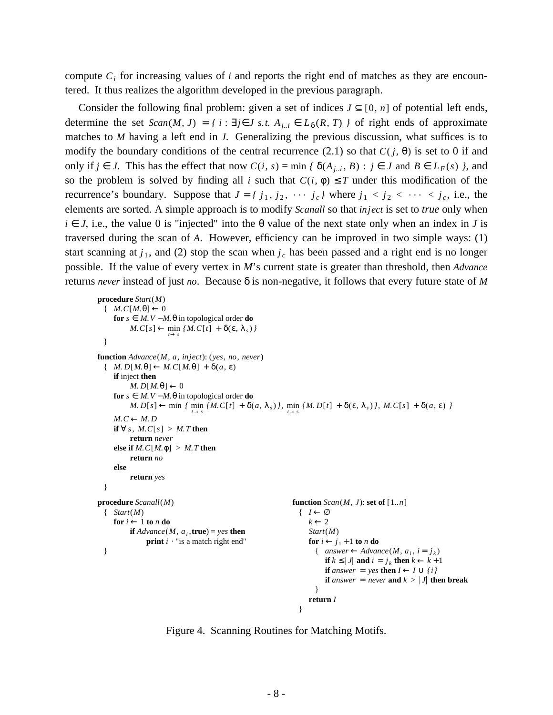compute  $C_i$  for increasing values of *i* and reports the right end of matches as they are encountered. It thus realizes the algorithm developed in the previous paragraph.

Consider the following final problem: given a set of indices  $J \subseteq [0, n]$  of potential left ends, determine the set  $Scan(M, J) = \{ i : \exists j \in J \text{ s.t. } A_{j,i} \in L_{\delta}(R, T) \}$  of right ends of approximate matches to *M* having a left end in *J*. Generalizing the previous discussion, what suffices is to modify the boundary conditions of the central recurrence (2.1) so that  $C(j, \theta)$  is set to 0 if and only if *j* ∈ *J*. This has the effect that now  $C(i, s) = \min \{ \delta(A_{j..i}, B) : j \in J \text{ and } B \in L_F(s) \}$ , and so the problem is solved by finding all *i* such that  $C(i, \phi) \leq T$  under this modification of the recurrence's boundary. Suppose that  $J = \{j_1, j_2, \cdots, j_c\}$  where  $j_1 < j_2 < \cdots < j_c$ , i.e., the elements are sorted. A simple approach is to modify *Scanall* so that *inject* is set to *true* only when  $i \in J$ , i.e., the value 0 is "injected" into the  $\theta$  value of the next state only when an index in *J* is traversed during the scan of *A*. However, efficiency can be improved in two simple ways: (1) start scanning at  $j_1$ , and (2) stop the scan when  $j_c$  has been passed and a right end is no longer possible. If the value of every vertex in *M*'s current state is greater than threshold, then *Advance* returns *never* instead of just *no*. Because δ is non-negative, it follows that every future state of *M*

```
procedure Start(M)
 \{M.C[M.\theta] \leftarrow 0for s ∈ M.V − M.θ in topological order do
          M.C[s] \leftarrow \min_{t \to s} \{M.C[t] + \delta(\varepsilon, \lambda_s)\}}
function Advance(M, a, inject): (yes, no, never)
 \{ M.D[M.\theta] \leftarrow M.C[M.\theta] + \delta(a,\epsilon)if inject then
         M. D[M, \theta] \leftarrow 0for s \text{ ∈ } M. V - M. \theta in topological order do
          M. D[s] \leftarrow \min_{t \to s} \{ M. C[t] + \delta(a, \lambda_s) \}, \min_{t \to s} \{ M. D[t] + \delta(\varepsilon, \lambda_s) \}, M. C[s] + \delta(a, \varepsilon) \}M.C ← M.Dif ∀ s, M. C[s] > M. T then
         return never
    else if M. C[M, \phi] > M. T then
         return no
    else
         return yes
 }
procedure Scanall(M) function Scan(M, J): set of [1..n]
 { Start(M) { I ← ∅
    for i \leftarrow 1 to n do k \leftarrow 2if Advance(M, a_i, true) = yes then Start(M)print i \cdot "is a match right end"
                                                                for i \leftarrow j_1 + 1 to n do
  { answer \leftarrow Advance(M, a_i, i = j_k)if k \leq |J| and i = j_k then k \leftarrow k+1if answer = yes then I \leftarrow I \cup \{i\}if answer = never and k > |J| then break
                                                                 }
                                                               return I
                                                             }
```
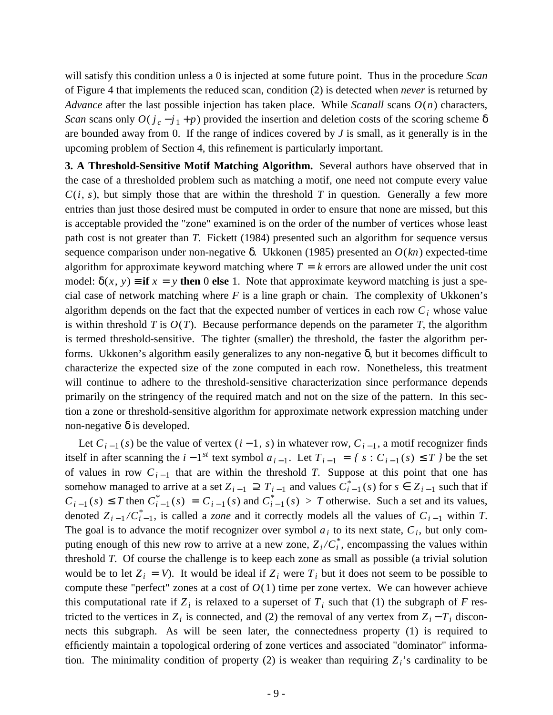will satisfy this condition unless a 0 is injected at some future point. Thus in the procedure *Scan* of Figure 4 that implements the reduced scan, condition (2) is detected when *never* is returned by *Advance* after the last possible injection has taken place. While *Scanall* scans *O*(*n*) characters, *Scan* scans only  $O(j_c - j_1 + p)$  provided the insertion and deletion costs of the scoring scheme  $\delta$ are bounded away from 0. If the range of indices covered by *J* is small, as it generally is in the upcoming problem of Section 4, this refinement is particularly important.

**3. A Threshold-Sensitive Motif Matching Algorithm.** Several authors have observed that in the case of a thresholded problem such as matching a motif, one need not compute every value  $C(i, s)$ , but simply those that are within the threshold *T* in question. Generally a few more entries than just those desired must be computed in order to ensure that none are missed, but this is acceptable provided the "zone" examined is on the order of the number of vertices whose least path cost is not greater than *T*. Fickett (1984) presented such an algorithm for sequence versus sequence comparison under non-negative δ. Ukkonen (1985) presented an *O*(*kn*) expected-time algorithm for approximate keyword matching where  $T = k$  errors are allowed under the unit cost model:  $\delta(x, y) =$  **if**  $x = y$  **then** 0 **else** 1. Note that approximate keyword matching is just a special case of network matching where *F* is a line graph or chain. The complexity of Ukkonen's algorithm depends on the fact that the expected number of vertices in each row  $C_i$  whose value is within threshold  $T$  is  $O(T)$ . Because performance depends on the parameter  $T$ , the algorithm is termed threshold-sensitive. The tighter (smaller) the threshold, the faster the algorithm performs. Ukkonen's algorithm easily generalizes to any non-negative δ, but it becomes difficult to characterize the expected size of the zone computed in each row. Nonetheless, this treatment will continue to adhere to the threshold-sensitive characterization since performance depends primarily on the stringency of the required match and not on the size of the pattern. In this section a zone or threshold-sensitive algorithm for approximate network expression matching under non-negative  $\delta$  is developed.

Let  $C_{i-1}(s)$  be the value of vertex  $(i-1, s)$  in whatever row,  $C_{i-1}$ , a motif recognizer finds itself in after scanning the  $i - 1^{st}$  text symbol  $a_{i-1}$ . Let  $T_{i-1} = \{ s : C_{i-1}(s) \le T \}$  be the set of values in row  $C_{i-1}$  that are within the threshold *T*. Suppose at this point that one has somehow managed to arrive at a set  $Z_{i-1} \supseteq T_{i-1}$  and values  $C_{i-1}^*(s)$  for  $s \in Z_{i-1}$  such that if  $C_{i-1}(s) \leq T$  then  $C_{i-1}^*(s) = C_{i-1}(s)$  and  $C_{i-1}^*(s) > T$  otherwise. Such a set and its values, denoted  $Z_{i-1}/C_{i-1}^*$ , is called a *zone* and it correctly models all the values of  $C_{i-1}$  within *T*. The goal is to advance the motif recognizer over symbol  $a_i$  to its next state,  $C_i$ , but only computing enough of this new row to arrive at a new zone,  $Z_i/C_i^*$ , encompassing the values within threshold *T*. Of course the challenge is to keep each zone as small as possible (a trivial solution would be to let  $Z_i = V$ ). It would be ideal if  $Z_i$  were  $T_i$  but it does not seem to be possible to compute these "perfect" zones at a cost of  $O(1)$  time per zone vertex. We can however achieve this computational rate if  $Z_i$  is relaxed to a superset of  $T_i$  such that (1) the subgraph of *F* restricted to the vertices in  $Z_i$  is connected, and (2) the removal of any vertex from  $Z_i - T_i$  disconnects this subgraph. As will be seen later, the connectedness property (1) is required to efficiently maintain a topological ordering of zone vertices and associated "dominator" information. The minimality condition of property (2) is weaker than requiring  $Z_i$ 's cardinality to be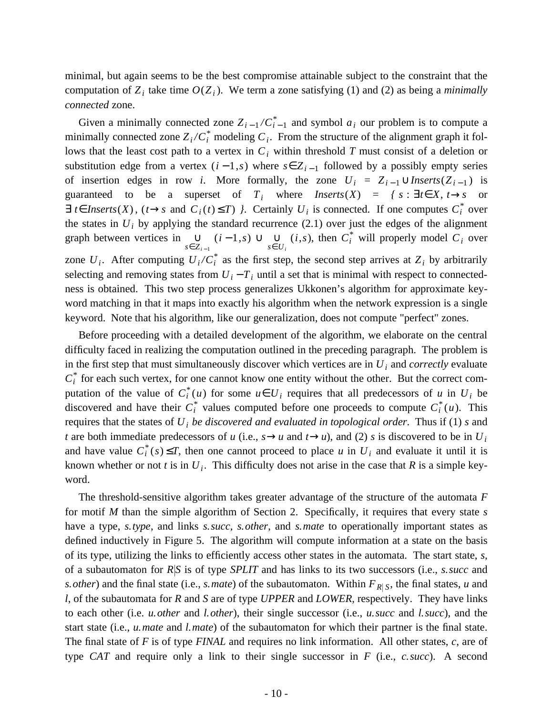minimal, but again seems to be the best compromise attainable subject to the constraint that the computation of  $Z_i$  take time  $O(Z_i)$ . We term a zone satisfying (1) and (2) as being a *minimally connected* zone.

Given a minimally connected zone  $Z_{i-1}/C_{i-1}^*$  and symbol  $a_i$  our problem is to compute a minimally connected zone  $Z_i/C_i^*$  modeling  $C_i$ . From the structure of the alignment graph it follows that the least cost path to a vertex in *C<sup>i</sup>* within threshold *T* must consist of a deletion or substitution edge from a vertex  $(i-1,s)$  where  $s \in Z_{i-1}$  followed by a possibly empty series of insertion edges in row *i*. More formally, the zone  $U_i = Z_{i-1} \cup \text{Inserts}(Z_{i-1})$  is guaranteed to be a superset of  $T_i$  where *Inserts*(*X*) = {  $s : \exists t \in X, t \rightarrow s$  or  $\exists$  *t*∈ *Inserts*(*X*), (*t*→*s* and  $C_i(t) \le T$ ) *}*. Certainly  $U_i$  is connected. If one computes  $C_i^*$  over the states in  $U_i$  by applying the standard recurrence  $(2.1)$  over just the edges of the alignment graph between vertices in *s*∈*Z<sup>i</sup>* <sup>−</sup> <sup>1</sup> ∪ (*i* − 1,*s*) ∪  $\bigcup_{s \in U_i}$  (*i*,*s*), then  $C_i^*$  will properly model  $C_i$  over zone  $U_i$ . After computing  $U_i/C_i^*$  as the first step, the second step arrives at  $Z_i$  by arbitrarily selecting and removing states from  $U_i - T_i$  until a set that is minimal with respect to connectedness is obtained. This two step process generalizes Ukkonen's algorithm for approximate keyword matching in that it maps into exactly his algorithm when the network expression is a single keyword. Note that his algorithm, like our generalization, does not compute "perfect" zones.

Before proceeding with a detailed development of the algorithm, we elaborate on the central difficulty faced in realizing the computation outlined in the preceding paragraph. The problem is in the first step that must simultaneously discover which vertices are in *U<sup>i</sup>* and *correctly* evaluate  $C_i^*$  for each such vertex, for one cannot know one entity without the other. But the correct computation of the value of  $C_i^*(u)$  for some  $u \in U_i$  requires that all predecessors of *u* in  $U_i$  be discovered and have their  $C_i^*$  values computed before one proceeds to compute  $C_i^*(u)$ . This requires that the states of *U<sup>i</sup> be discovered and evaluated in topological order*. Thus if (1) *s* and *t* are both immediate predecessors of *u* (i.e.,  $s \rightarrow u$  and  $t \rightarrow u$ ), and (2) *s* is discovered to be in  $U_i$ and have value  $C_i^*(s) \leq T$ , then one cannot proceed to place *u* in  $U_i$  and evaluate it until it is known whether or not *t* is in  $U_i$ . This difficulty does not arise in the case that *R* is a simple keyword.

The threshold-sensitive algorithm takes greater advantage of the structure of the automata *F* for motif *M* than the simple algorithm of Section 2. Specifically, it requires that every state *s* have a type, *s.type*, and links *s.succ*, *s.other*, and *s.mate* to operationally important states as defined inductively in Figure 5. The algorithm will compute information at a state on the basis of its type, utilizing the links to efficiently access other states in the automata. The start state, *s*, of a subautomaton for *R S* is of type *SPLIT* and has links to its two successors (i.e., *s.succ* and *s. other*) and the final state (i.e., *s. mate*) of the subautomaton. Within  $F_{R|S}$ , the final states, *u* and *l*, of the subautomata for *R* and *S* are of type *UPPER* and *LOWER*, respectively. They have links to each other (i.e. *u.other* and *l.other*), their single successor (i.e., *u.succ* and *l.succ*), and the start state (i.e., *u.mate* and *l.mate*) of the subautomaton for which their partner is the final state. The final state of *F* is of type *FINAL* and requires no link information. All other states, *c*, are of type *CAT* and require only a link to their single successor in *F* (i.e., *c.succ*). A second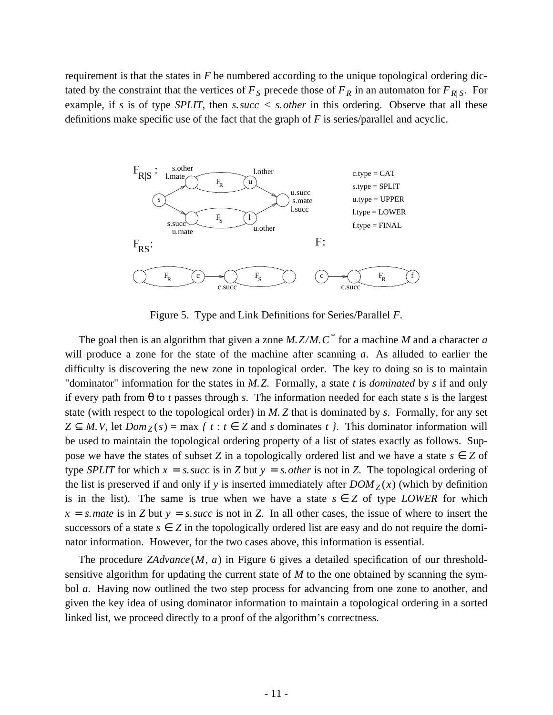requirement is that the states in *F* be numbered according to the unique topological ordering dictated by the constraint that the vertices of  $F<sub>S</sub>$  precede those of  $F<sub>R</sub>$  in an automaton for  $F<sub>R|S</sub>$ . For example, if *s* is of type *SPLIT*, then *s.succ < s.other* in this ordering. Observe that all these definitions make specific use of the fact that the graph of *F* is series/parallel and acyclic.



Figure 5. Type and Link Definitions for Series/Parallel *F*.

The goal then is an algorithm that given a zone *M.Z/M.C\** for a machine *M* and a character *a* will produce a zone for the state of the machine after scanning *a*. As alluded to earlier the difficulty is discovering the new zone in topological order. The key to doing so is to maintain "dominator" information for the states in *M.Z*. Formally, a state *t* is *dominated* by *s* if and only if every path from θ to *t* passes through *s*. The information needed for each state *s* is the largest state (with respect to the topological order) in *M. Z* that is dominated by *s*. Formally, for any set  $Z \subseteq M$ . *V*, let  $Dom_Z(s) = max \{ t : t \in Z \text{ and } s \text{ dominates } t \}.$  This dominator information will be used to maintain the topological ordering property of a list of states exactly as follows. Suppose we have the states of subset *Z* in a topologically ordered list and we have a state  $s \in Z$  of type *SPLIT* for which  $x = s$ . *succ* is in *Z* but  $y = s$ . *other* is not in *Z*. The topological ordering of the list is preserved if and only if *y* is inserted immediately after  $DOM_Z(x)$  (which by definition is in the list). The same is true when we have a state  $s \in Z$  of type *LOWER* for which  $x = s$ . *mate* is in *Z* but  $y = s$ . *succ* is not in *Z*. In all other cases, the issue of where to insert the successors of a state  $s \in Z$  in the topologically ordered list are easy and do not require the dominator information. However, for the two cases above, this information is essential.

The procedure *ZAdvance*(*M*, *a*) in Figure 6 gives a detailed specification of our thresholdsensitive algorithm for updating the current state of *M* to the one obtained by scanning the symbol *a*. Having now outlined the two step process for advancing from one zone to another, and given the key idea of using dominator information to maintain a topological ordering in a sorted linked list, we proceed directly to a proof of the algorithm's correctness.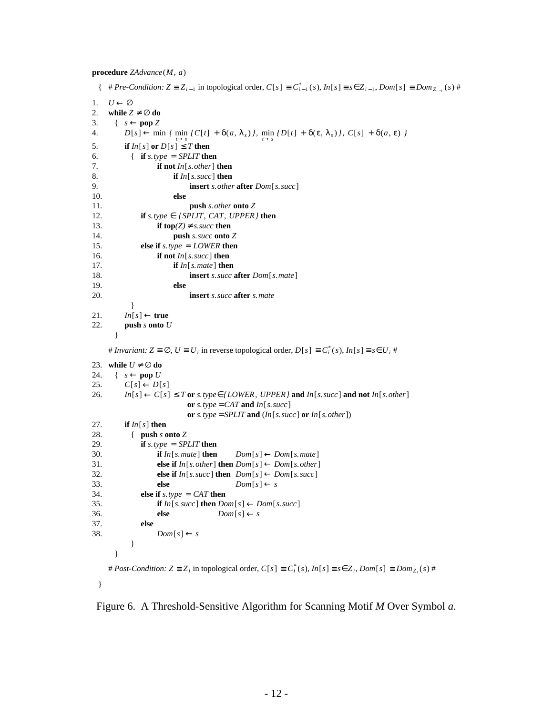**procedure** *ZAdvance*(*M*, *a*)

```
\{ \# Pre-Condition: Z \equiv Z_{i-1} \text{ in topological order}, C[s] \equiv C_{i-1}^*(s), In[s] \equiv s \in Z_{i-1}, Dom[s] \equiv Dom_{Z_{i-1}}(s) \#1. U \leftarrow \varnothing2. while Z \neq \emptyset do
3. \{ s \leftarrow \text{pop } Z \}4. D[s] ← min { min {C[t] + δ(a, λ<sub>s</sub>)}, min {D[t] + δ(ε, λ<sub>s</sub>)}, C[s] + δ(a, ε) }
5. if In[s] or D[s] \leq T then
6. { if s.type = SPLIT then
7. if not In[s.other] then
8. if In[s.succ] then
9. insert s.other after Dom[s.succ]
10. else
11. push s.other onto Z
12. if s.type \in {SPLIT, CAT, UPPER} then
13. if top(Z) \neq ss succ then
14. push s.succ onto Z
15. else if s.type = LOWER then
16. if not In[s.succ] then
17. if In[s.mate] then
18. insert s.succ after Dom[s.mate]
19. else
20. insert s.succ after s.mate
          }
21. In[s] \leftarrow true22. push s onto U
      }
    # Invariant: Z \equiv \emptyset, U \equiv U_i in reverse topological order, D[s] \equiv C_i^*(s), In[s] \equiv s \in U_i #
23. while U \neq \emptyset do
24. \{ s \leftarrow \textbf{pop } U25. C[s] \leftarrow D[s]26. In[s] \leftarrow C[s] \leq T or s.type\in {LOWER, UPPER} and In[s, succ] and not In[s, other]
                         or s.type = CAT and In[s. succ]
                         or s.type = SPLIT and (In[s. succ] or In[s. other])
27. if In[s] then
28. { push s onto Z
29. if s.type = SPLIT then
30. if In[s, mate] then Dom[s] \leftarrow Dom[s, mate]31. else if In[s.other] then Dom[s] \leftarrow Dom[s.other]32. else if In[s, succ] then Dom[s] \leftarrow Dom[s, succ]33. else Dom[s] \leftarrow s34. else if s.type = CAT then
35. if In[s, succ] then Dom[s] \leftarrow Dom[s, succ]36. else Dom[s] \leftarrow s37. else
38. Dom[s] \leftarrow s
          }
      }
    # Post-Condition: Z \equiv Z_i in topological order, C[s] \equiv C_i^*(s), In[s] \equiv s \in Z_i, Dom[s] \equiv Dom_{Z_i}(s) #
 }
```
Figure 6. A Threshold-Sensitive Algorithm for Scanning Motif *M* Over Symbol *a*.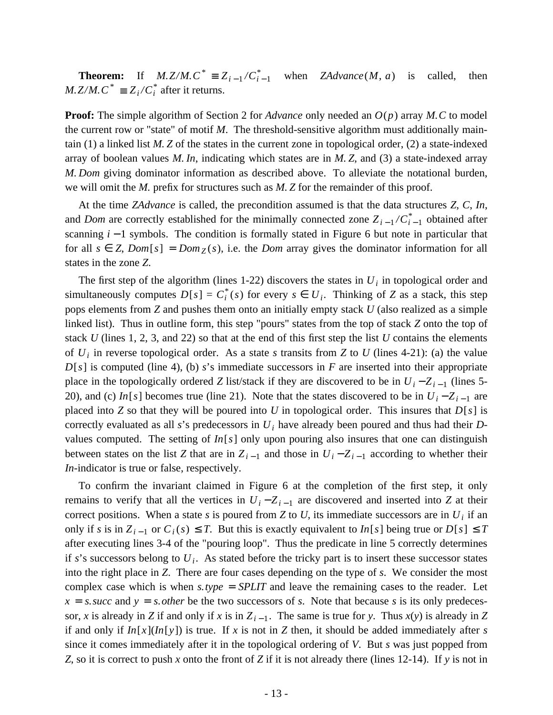**Theorem:** If *M.Z/M.*  $C^* \equiv Z_{i-1}/C_{i-1}^*$ when  $ZAdvance(M, a)$  is called, then *M.*  $Z/M$ .  $C^* \equiv Z_i/C_i^*$  after it returns.

**Proof:** The simple algorithm of Section 2 for *Advance* only needed an *O*(*p*) array *M.C* to model the current row or "state" of motif *M*. The threshold-sensitive algorithm must additionally maintain (1) a linked list *M. Z* of the states in the current zone in topological order, (2) a state-indexed array of boolean values *M. In*, indicating which states are in *M. Z*, and (3) a state-indexed array *M. Dom* giving dominator information as described above. To alleviate the notational burden, we will omit the *M.* prefix for structures such as *M. Z* for the remainder of this proof.

At the time *ZAdvance* is called, the precondition assumed is that the data structures *Z*, *C*, *In*, and *Dom* are correctly established for the minimally connected zone  $Z_{i-1}/C_{i-1}^*$  obtained after scanning *i* − 1 symbols. The condition is formally stated in Figure 6 but note in particular that for all  $s \in Z$ ,  $Dom[s] = Dom_{Z}(s)$ , i.e. the *Dom* array gives the dominator information for all states in the zone *Z*.

The first step of the algorithm (lines 1-22) discovers the states in  $U_i$  in topological order and simultaneously computes  $D[s] = C_i^*(s)$  for every  $s \in U_i$ . Thinking of *Z* as a stack, this step pops elements from *Z* and pushes them onto an initially empty stack *U* (also realized as a simple linked list). Thus in outline form, this step "pours" states from the top of stack *Z* onto the top of stack *U* (lines 1, 2, 3, and 22) so that at the end of this first step the list *U* contains the elements of  $U_i$  in reverse topological order. As a state *s* transits from *Z* to *U* (lines 4-21): (a) the value  $D[s]$  is computed (line 4), (b) *s*'s immediate successors in *F* are inserted into their appropriate place in the topologically ordered *Z* list/stack if they are discovered to be in  $U_i - Z_{i-1}$  (lines 5-20), and (c) *In*[*s*] becomes true (line 21). Note that the states discovered to be in  $U_i - Z_{i-1}$  are placed into *Z* so that they will be poured into *U* in topological order. This insures that *D*[*s*] is correctly evaluated as all *s*'s predecessors in *U<sup>i</sup>* have already been poured and thus had their *D*values computed. The setting of *In*[*s*] only upon pouring also insures that one can distinguish between states on the list *Z* that are in  $Z_{i-1}$  and those in  $U_i - Z_{i-1}$  according to whether their *In*-indicator is true or false, respectively.

To confirm the invariant claimed in Figure 6 at the completion of the first step, it only remains to verify that all the vertices in  $U_i - Z_{i-1}$  are discovered and inserted into *Z* at their correct positions. When a state *s* is poured from *Z* to *U*, its immediate successors are in  $U_i$  if an only if *s* is in  $Z_{i-1}$  or  $C_i(s) \leq T$ . But this is exactly equivalent to *In*[*s*] being true or *D*[*s*] ≤ *T* after executing lines 3-4 of the "pouring loop". Thus the predicate in line 5 correctly determines if *s*'s successors belong to *U<sup>i</sup>* . As stated before the tricky part is to insert these successor states into the right place in *Z*. There are four cases depending on the type of *s*. We consider the most complex case which is when *s.type* = *SPLIT* and leave the remaining cases to the reader. Let  $x = s$  *succ* and  $y = s$  *other* be the two successors of *s*. Note that because *s* is its only predecessor, *x* is already in *Z* if and only if *x* is in  $Z_{i-1}$ . The same is true for *y*. Thus *x*(*y*) is already in *Z* if and only if  $In[x](In[y])$  is true. If *x* is not in *Z* then, it should be added immediately after *s* since it comes immediately after it in the topological ordering of *V*. But *s* was just popped from *Z*, so it is correct to push *x* onto the front of *Z* if it is not already there (lines 12-14). If *y* is not in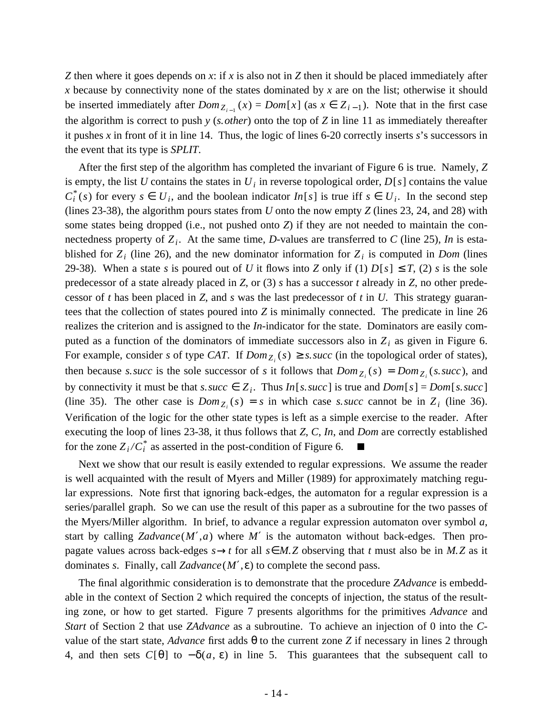*Z* then where it goes depends on *x*: if *x* is also not in *Z* then it should be placed immediately after *x* because by connectivity none of the states dominated by *x* are on the list; otherwise it should be inserted immediately after  $Dom_{Z_{i-1}}(x) = Dom[x]$  (as  $x \in Z_{i-1}$ ). Note that in the first case the algorithm is correct to push *y* (*s.other*) onto the top of *Z* in line 11 as immediately thereafter it pushes *x* in front of it in line 14. Thus, the logic of lines 6-20 correctly inserts *s*'s successors in the event that its type is *SPLIT*.

After the first step of the algorithm has completed the invariant of Figure 6 is true. Namely, *Z* is empty, the list *U* contains the states in  $U_i$  in reverse topological order,  $D[s]$  contains the value  $C_i^*(s)$  for every  $s \in U_i$ , and the boolean indicator *In*[*s*] is true iff  $s \in U_i$ . In the second step (lines 23-38), the algorithm pours states from *U* onto the now empty *Z* (lines 23, 24, and 28) with some states being dropped (i.e., not pushed onto *Z*) if they are not needed to maintain the connectedness property of *Z<sup>i</sup>* . At the same time, *D*-values are transferred to *C* (line 25), *In* is established for  $Z_i$  (line 26), and the new dominator information for  $Z_i$  is computed in *Dom* (lines 29-38). When a state *s* is poured out of *U* it flows into *Z* only if (1)  $D[s] \leq T$ , (2) *s* is the sole predecessor of a state already placed in *Z*, or (3) *s* has a successor *t* already in *Z*, no other predecessor of *t* has been placed in *Z*, and *s* was the last predecessor of *t* in *U*. This strategy guarantees that the collection of states poured into *Z* is minimally connected. The predicate in line 26 realizes the criterion and is assigned to the *In*-indicator for the state. Dominators are easily computed as a function of the dominators of immediate successors also in  $Z_i$  as given in Figure 6. For example, consider *s* of type *CAT*. If  $Dom_{Z_i}(s) \geq s$ . *succ* (in the topological order of states), then because *s. succ* is the sole successor of *s* it follows that  $Dom_{Z_i}(s) = Dom_{Z_i}(s, succ)$ , and by connectivity it must be that *s. succ*  $\in Z_i$ . Thus *In*[*s. succ*] is true and *Dom*[*s*] = *Dom*[*s. succ*] (line 35). The other case is  $Dom_{Z_i}(s) = s$  in which case *s. succ* cannot be in  $Z_i$  (line 36). Verification of the logic for the other state types is left as a simple exercise to the reader. After executing the loop of lines 23-38, it thus follows that *Z*, *C*, *In*, and *Dom* are correctly established for the zone  $Z_i/C_i^*$  as asserted in the post-condition of Figure 6.  $\blacksquare$ 

is well acquainted with the result of Myers and Miller (1989) for approximately matching regu-Next we show that our result is easily extended to regular expressions. We assume the reader lar expressions. Note first that ignoring back-edges, the automaton for a regular expression is a series/parallel graph. So we can use the result of this paper as a subroutine for the two passes of the Myers/Miller algorithm. In brief, to advance a regular expression automaton over symbol *a*, start by calling  $Zadvance(M',a)$  where M' is the automaton without back-edges. Then propagate values across back-edges  $s \rightarrow t$  for all  $s \in M$ . Z observing that *t* must also be in *M*. Z as it dominates *s*. Finally, call *Zadvance*(*M*′,ε) to complete the second pass.

The final algorithmic consideration is to demonstrate that the procedure *ZAdvance* is embeddable in the context of Section 2 which required the concepts of injection, the status of the resulting zone, or how to get started. Figure 7 presents algorithms for the primitives *Advance* and *Start* of Section 2 that use *ZAdvance* as a subroutine. To achieve an injection of 0 into the *C*value of the start state, *Advance* first adds θ to the current zone *Z* if necessary in lines 2 through 4, and then sets  $C[\theta]$  to  $-\delta(a, \varepsilon)$  in line 5. This guarantees that the subsequent call to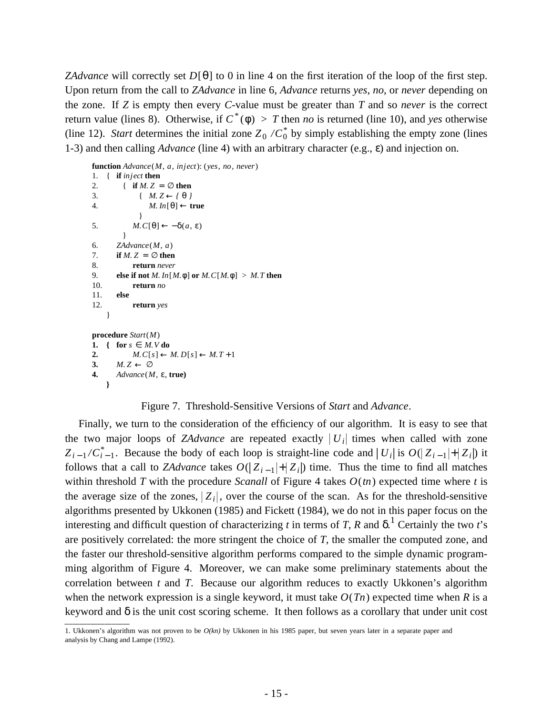*ZAdvance* will correctly set *D*[θ] to 0 in line 4 on the first iteration of the loop of the first step. Upon return from the call to *ZAdvance* in line 6, *Advance* returns *yes*, *no*, or *never* depending on the zone. If *Z* is empty then every *C*-value must be greater than *T* and so *never* is the correct return value (lines 8). Otherwise, if  $C^*(\phi) > T$  then *no* is returned (line 10), and *yes* otherwise (line 12). *Start* determines the initial zone  $Z_0 / C_0^*$  by simply establishing the empty zone (lines 1-3) and then calling *Advance* (line 4) with an arbitrary character (e.g., ε) and injection on.

```
function Advance(M, a, inject): (yes, no, never)
1. { if inject then
2. \{ if M. Z = \emptyset then
3. {M. Z \leftarrow f \theta}4. M. In[θ] ← true
             }
5. M. C[\theta] \leftarrow -\delta(a, \varepsilon)}
6. ZAdvance(M, a)
7. if M, Z = \emptyset then
8. return never
9. else if not M. In[M.φ] or M.C[M.φ] > M.T then
10. return no
11. else
12. return yes
   }
procedure Start(M)
1. { for s \in M. V do
2. M.C[s] \leftarrow M.D[s] \leftarrow M.T+13. M. Z \leftarrow \emptyset4. Advance(M, ε, true)
   }
```
## Figure 7. Threshold-Sensitive Versions of *Start* and *Advance*.

Finally, we turn to the consideration of the efficiency of our algorithm. It is easy to see that the two major loops of *ZAdvance* are repeated exactly  $|U_i|$  times when called with zone  $Z_{i-1}/C_{i-1}^*$ . Because the body of each loop is straight-line code and  $|U_i|$  is  $O(|Z_{i-1}|+|Z_i|)$  it follows that a call to *ZAdvance* takes  $O(|Z_{i-1}| + |Z_i|)$  time. Thus the time to find all matches within threshold *T* with the procedure *Scanall* of Figure 4 takes  $O(m)$  expected time where *t* is the average size of the zones,  $Z_i$ , over the course of the scan. As for the threshold-sensitive algorithms presented by Ukkonen (1985) and Fickett (1984), we do not in this paper focus on the interesting and difficult question of characterizing *t* in terms of *T*, *R* and  $\delta$ .<sup>1</sup> Certainly the two *t*'s are positively correlated: the more stringent the choice of *T*, the smaller the computed zone, and the faster our threshold-sensitive algorithm performs compared to the simple dynamic programming algorithm of Figure 4. Moreover, we can make some preliminary statements about the correlation between *t* and *T*. Because our algorithm reduces to exactly Ukkonen's algorithm when the network expression is a single keyword, it must take  $O(Tn)$  expected time when R is a keyword and  $\delta$  is the unit cost scoring scheme. It then follows as a corollary that under unit cost

<sup>1.</sup> Ukkonen's algorithm was not proven to be *O(kn)* by Ukkonen in his 1985 paper, but seven years later in a separate paper and analysis by Chang and Lampe (1992).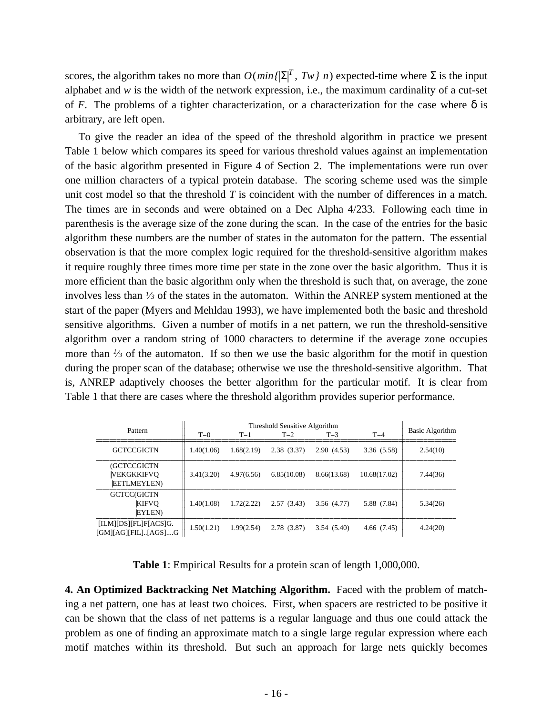scores, the algorithm takes no more than  $O(min{\{\Sigma\}}^T, Tw/n)$  expected-time where  $\Sigma$  is the input alphabet and *w* is the width of the network expression, i.e., the maximum cardinality of a cut-set of *F*. The problems of a tighter characterization, or a characterization for the case where  $\delta$  is arbitrary, are left open.

To give the reader an idea of the speed of the threshold algorithm in practice we present Table 1 below which compares its speed for various threshold values against an implementation of the basic algorithm presented in Figure 4 of Section 2. The implementations were run over one million characters of a typical protein database. The scoring scheme used was the simple unit cost model so that the threshold *T* is coincident with the number of differences in a match. The times are in seconds and were obtained on a Dec Alpha 4/233. Following each time in parenthesis is the average size of the zone during the scan. In the case of the entries for the basic algorithm these numbers are the number of states in the automaton for the pattern. The essential observation is that the more complex logic required for the threshold-sensitive algorithm makes it require roughly three times more time per state in the zone over the basic algorithm. Thus it is more efficient than the basic algorithm only when the threshold is such that, on average, the zone involves less than *<sup>1</sup> ⁄<sup>3</sup>* of the states in the automaton. Within the ANREP system mentioned at the start of the paper (Myers and Mehldau 1993), we have implemented both the basic and threshold sensitive algorithms. Given a number of motifs in a net pattern, we run the threshold-sensitive algorithm over a random string of 1000 characters to determine if the average zone occupies more than  $\frac{1}{3}$  of the automaton. If so then we use the basic algorithm for the motif in question during the proper scan of the database; otherwise we use the threshold-sensitive algorithm. That is, ANREP adaptively chooses the better algorithm for the particular motif. It is clear from Table 1 that there are cases where the threshold algorithm provides superior performance.

| Pattern                                              | Threshold Sensitive Algorithm |            |             |             |              |                 |
|------------------------------------------------------|-------------------------------|------------|-------------|-------------|--------------|-----------------|
|                                                      | $T=0$                         | $T=1$      | $T=2$       | $T=3$       | $T=4$        | Basic Algorithm |
| <b>GCTCCGICTN</b>                                    | 1.40(1.06)                    | 1.68(2.19) | 2.38(3.37)  | 2.90(4.53)  | 3.36(5.58)   | 2.54(10)        |
| (GCTCCGICTN<br> VEKGKKIFVQ<br><b>EETLMEYLEN)</b>     | 3.41(3.20)                    | 4.97(6.56) | 6.85(10.08) | 8.66(13.68) | 10.68(17.02) | 7.44(36)        |
| GCTCC(GICTN<br> KIFVQ<br><b>EYLEN</b> )              | 1.40(1.08)                    | 1.72(2.22) | 2.57(3.43)  | 3.56 (4.77) | 5.88 (7.84)  | 5.34(26)        |
| [ILM][DS][FL]F[ACS]G.<br>$[GM][AG][FIL]$ $[AGS]$ $G$ | 1.50(1.21)                    | 1.99(2.54) | 2.78(3.87)  | 3.54(5.40)  | 4.66(7.45)   | 4.24(20)        |

**Table 1**: Empirical Results for a protein scan of length 1,000,000.

**4. An Optimized Backtracking Net Matching Algorithm.** Faced with the problem of matching a net pattern, one has at least two choices. First, when spacers are restricted to be positive it can be shown that the class of net patterns is a regular language and thus one could attack the problem as one of finding an approximate match to a single large regular expression where each motif matches within its threshold. But such an approach for large nets quickly becomes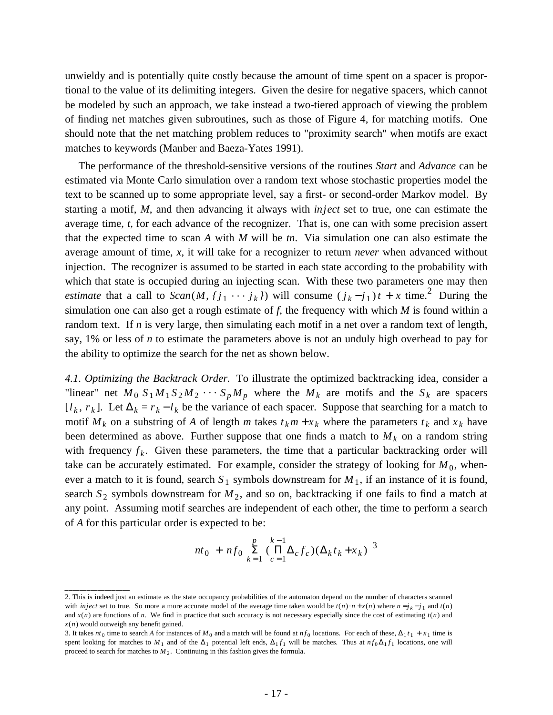unwieldy and is potentially quite costly because the amount of time spent on a spacer is proportional to the value of its delimiting integers. Given the desire for negative spacers, which cannot be modeled by such an approach, we take instead a two-tiered approach of viewing the problem of finding net matches given subroutines, such as those of Figure 4, for matching motifs. One should note that the net matching problem reduces to "proximity search" when motifs are exact matches to keywords (Manber and Baeza-Yates 1991).

The performance of the threshold-sensitive versions of the routines *Start* and *Advance* can be estimated via Monte Carlo simulation over a random text whose stochastic properties model the text to be scanned up to some appropriate level, say a first- or second-order Markov model. By starting a motif, *M*, and then advancing it always with *inject* set to true, one can estimate the average time, *t*, for each advance of the recognizer. That is, one can with some precision assert that the expected time to scan *A* with *M* will be *tn*. Via simulation one can also estimate the average amount of time, *x*, it will take for a recognizer to return *never* when advanced without injection. The recognizer is assumed to be started in each state according to the probability with which that state is occupied during an injecting scan. With these two parameters one may then *estimate* that a call to  $Scan(M, {j_1 \cdots j_k})$  will consume  $(j_k - j_1)t + x$  time.<sup>2</sup> During the simulation one can also get a rough estimate of *f*, the frequency with which *M* is found within a random text. If *n* is very large, then simulating each motif in a net over a random text of length, say, 1% or less of *n* to estimate the parameters above is not an unduly high overhead to pay for the ability to optimize the search for the net as shown below.

*4.1. Optimizing the Backtrack Order.* To illustrate the optimized backtracking idea, consider a "linear" net  $M_0 S_1 M_1 S_2 M_2 \cdots S_p M_p$  where the  $M_k$  are motifs and the  $S_k$  are spacers  $[l_k, r_k]$ . Let  $\Delta_k = r_k - l_k$  be the variance of each spacer. Suppose that searching for a match to motif  $M_k$  on a substring of A of length *m* takes  $t_k m + x_k$  where the parameters  $t_k$  and  $x_k$  have been determined as above. Further suppose that one finds a match to  $M_k$  on a random string with frequency  $f_k$ . Given these parameters, the time that a particular backtracking order will take can be accurately estimated. For example, consider the strategy of looking for  $M_0$ , whenever a match to it is found, search  $S_1$  symbols downstream for  $M_1$ , if an instance of it is found, search  $S_2$  symbols downstream for  $M_2$ , and so on, backtracking if one fails to find a match at any point. Assuming motif searches are independent of each other, the time to perform a search of *A* for this particular order is expected to be:

$$
nt_0 + nf_0 \sum_{k=1}^{p} (\prod_{c=1}^{k-1} \Delta_c f_c)(\Delta_k t_k + x_k)^3
$$

<sup>2.</sup> This is indeed just an estimate as the state occupancy probabilities of the automaton depend on the number of characters scanned 2. This is indeed just an estimate as the state occupancy probabilities of the automaton depend on the number of characters scanned with *inject* set to true. So more a more accurate model of the average time taken would and  $x(n)$  are functions of *n*. We find in practice that such accuracy is not necessary especially since the cost of estimating  $t(n)$  and *x*(*n*) would outweigh any benefit gained.

<sup>3.</sup> It takes *nt*<sub>0</sub> time to search *A* for instances of *M*<sub>0</sub> and a match will be found at *nf*<sub>0</sub> locations. For each of these,  $\Delta_1 t_1 + x_1$  time is spent looking for matches to  $M_1$  and of the  $\Delta_1$  potential left ends,  $\Delta_1 f_1$  will be matches. Thus at  $nf_0 \Delta_1 f_1$  locations, one will proceed to search for matches to  $M_2$ . Continuing in this fashion gives the formula.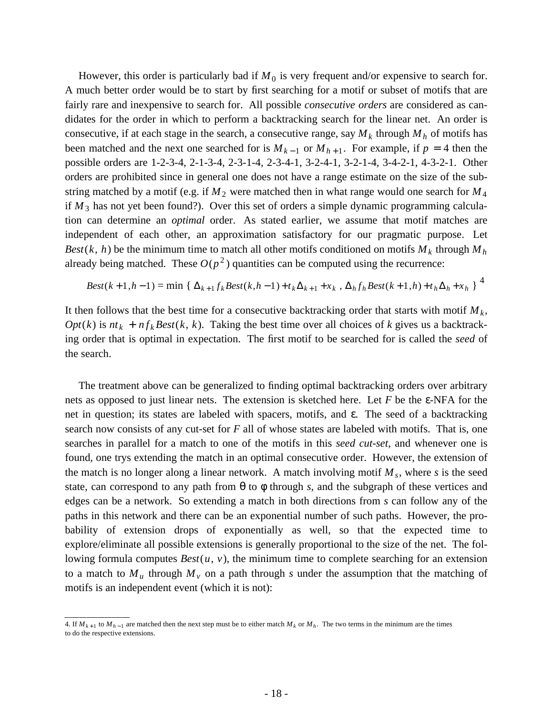However, this order is particularly bad if  $M_0$  is very frequent and/or expensive to search for. A much better order would be to start by first searching for a motif or subset of motifs that are fairly rare and inexpensive to search for. All possible *consecutive orders* are considered as candidates for the order in which to perform a backtracking search for the linear net. An order is consecutive, if at each stage in the search, a consecutive range, say  $M_k$  through  $M_h$  of motifs has been matched and the next one searched for is  $M_{k-1}$  or  $M_{h+1}$ . For example, if  $p = 4$  then the possible orders are 1-2-3-4, 2-1-3-4, 2-3-1-4, 2-3-4-1, 3-2-4-1, 3-2-1-4, 3-4-2-1, 4-3-2-1. Other orders are prohibited since in general one does not have a range estimate on the size of the substring matched by a motif (e.g. if  $M_2$  were matched then in what range would one search for  $M_4$ if  $M_3$  has not yet been found?). Over this set of orders a simple dynamic programming calculation can determine an *optimal* order. As stated earlier, we assume that motif matches are independent of each other, an approximation satisfactory for our pragmatic purpose. Let *Best*(*k*, *h*) be the minimum time to match all other motifs conditioned on motifs  $M_k$  through  $M_h$ already being matched. These  $O(p^2)$  quantities can be computed using the recurrence:

$$
Best(k+1, h-1) = \min \left\{ \Delta_{k+1} f_k Best(k, h-1) + t_k \Delta_{k+1} + x_k, \Delta_h f_h Best(k+1, h) + t_h \Delta_h + x_h \right\}^4
$$

It then follows that the best time for a consecutive backtracking order that starts with motif *M<sup>k</sup>* ,  $Opt(k)$  is  $nt_k + nf_k Best(k, k)$ . Taking the best time over all choices of *k* gives us a backtracking order that is optimal in expectation. The first motif to be searched for is called the *seed* of the search.

The treatment above can be generalized to finding optimal backtracking orders over arbitrary nets as opposed to just linear nets. The extension is sketched here. Let *F* be the ε-NFA for the net in question; its states are labeled with spacers, motifs, and ε. The seed of a backtracking search now consists of any cut-set for *F* all of whose states are labeled with motifs. That is, one searches in parallel for a match to one of the motifs in this *seed cut-set*, and whenever one is found, one trys extending the match in an optimal consecutive order. However, the extension of the match is no longer along a linear network. A match involving motif *M<sup>s</sup>* , where *s* is the seed state, can correspond to any path from  $\theta$  to  $\phi$  through *s*, and the subgraph of these vertices and edges can be a network. So extending a match in both directions from *s* can follow any of the paths in this network and there can be an exponential number of such paths. However, the probability of extension drops of exponentially as well, so that the expected time to explore/eliminate all possible extensions is generally proportional to the size of the net. The following formula computes *Best*(*u*, *v*), the minimum time to complete searching for an extension to a match to  $M_u$  through  $M_v$  on a path through *s* under the assumption that the matching of motifs is an independent event (which it is not):

<sup>4.</sup> If  $M_{k+1}$  to  $M_{h-1}$  are matched then the next step must be to either match  $M_k$  or  $M_h$ . The two terms in the minimum are the times to do the respective extensions.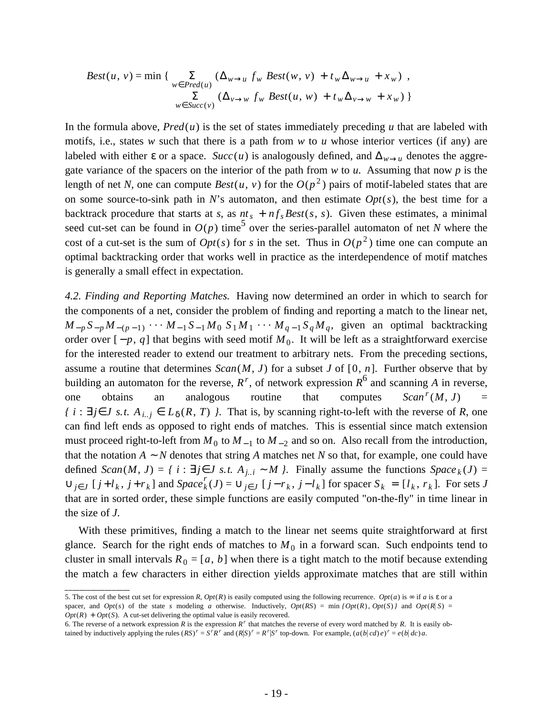$$
Best(u, v) = min \{ \sum_{w \in Pred(u)} (\Delta_{w \to u} f_w Best(w, v) + t_w \Delta_{w \to u} + x_w),
$$
  

$$
\sum_{w \in Succ(v)} (\Delta_{v \to w} f_w Best(u, w) + t_w \Delta_{v \to w} + x_w) \}
$$

In the formula above,  $Pred(u)$  is the set of states immediately preceding *u* that are labeled with motifs, i.e., states *w* such that there is a path from *w* to *u* whose interior vertices (if any) are labeled with either  $\varepsilon$  or a space. *Succ*(*u*) is analogously defined, and  $\Delta_{w\to u}$  denotes the aggregate variance of the spacers on the interior of the path from *w* to *u*. Assuming that now *p* is the length of net *N*, one can compute  $Best(u, v)$  for the  $O(p^2)$  pairs of motif-labeled states that are on some source-to-sink path in *N*'s automaton, and then estimate *Opt*(*s*), the best time for a backtrack procedure that starts at *s*, as  $nt_s + nf_s Best(s, s)$ . Given these estimates, a minimal seed cut-set can be found in  $O(p)$  time<sup>5</sup> over the series-parallel automaton of net *N* where the cost of a cut-set is the sum of  $Opt(s)$  for *s* in the set. Thus in  $O(p^2)$  time one can compute an optimal backtracking order that works well in practice as the interdependence of motif matches is generally a small effect in expectation.

*4.2. Finding and Reporting Matches.* Having now determined an order in which to search for the components of a net, consider the problem of finding and reporting a match to the linear net,  $M_{-p}S_{-p}M_{-(p-1)}$  ...  $M_{-1}S_{-1}M_0S_1M_1\cdots M_{q-1}S_qM_q$ , given an optimal backtracking order over  $[-p, q]$  that begins with seed motif  $M_0$ . It will be left as a straightforward exercise for the interested reader to extend our treatment to arbitrary nets. From the preceding sections, assume a routine that determines  $Scan(M, J)$  for a subset *J* of [0, *n*]. Further observe that by building an automaton for the reverse,  $R^r$ , of network expression  $R^6$  and scanning *A* in reverse, one obtains an analogous routine that computes  $\n *Scan*<sup>r</sup>(M, J) =$ *f i* : ∃*j*∈*J s.t.*  $A_{i,j}$  ∈  $L_{\delta}(R, T)$  *}*. That is, by scanning right-to-left with the reverse of *R*, one can find left ends as opposed to right ends of matches. This is essential since match extension must proceed right-to-left from  $M_0$  to  $M_{-1}$  to  $M_{-2}$  and so on. Also recall from the introduction, that the notation *A* ∼ *N* denotes that string *A* matches net *N* so that, for example, one could have defined  $Scan(M, J) = \{ i : \exists j \in J \text{ s.t. } A_{j..i} \sim M \}$ . Finally assume the functions  $Space_k(J) =$  $\bigcup_{j\in J}$  [j+l<sub>k</sub>, j+r<sub>k</sub>] and Space<sup>r</sup><sub>k</sub>(J) =  $\bigcup_{j\in J}$  [j-r<sub>k</sub>, j-l<sub>k</sub>] for spacer  $S_k = [l_k, r_k]$ . For sets J that are in sorted order, these simple functions are easily computed "on-the-fly" in time linear in the size of *J*.

With these primitives, finding a match to the linear net seems quite straightforward at first glance. Search for the right ends of matches to  $M_0$  in a forward scan. Such endpoints tend to cluster in small intervals  $R_0 = [a, b]$  when there is a tight match to the motif because extending the match a few characters in either direction yields approximate matches that are still within

<sup>5.</sup> The cost of the best cut set for expression *R*,  $Opt(R)$  is easily computed using the following recurrence.  $Opt(a)$  is  $\infty$  if *a* is  $\varepsilon$  or a spacer, and *Opt*(*s*) of the state *s* modeling *a* otherwise. Inductively,  $Opt(RS) = min\{Opt(R), Opt(S)\}$  and  $Opt(R|S) =$  $Opt(R) + Opt(S)$ . A cut-set delivering the optimal value is easily recovered.

<sup>6.</sup> The reverse of a network expression  $R$  is the expression  $R^r$  that matches the reverse of every word matched by  $R$ . It is easily obtained by inductively applying the rules  $(RS)^r = S^r R^r$  and  $(R|S)^r = R^r | S^r$  top-down. For example,  $(a(b|cd)e)^r = e(b|dc)a$ .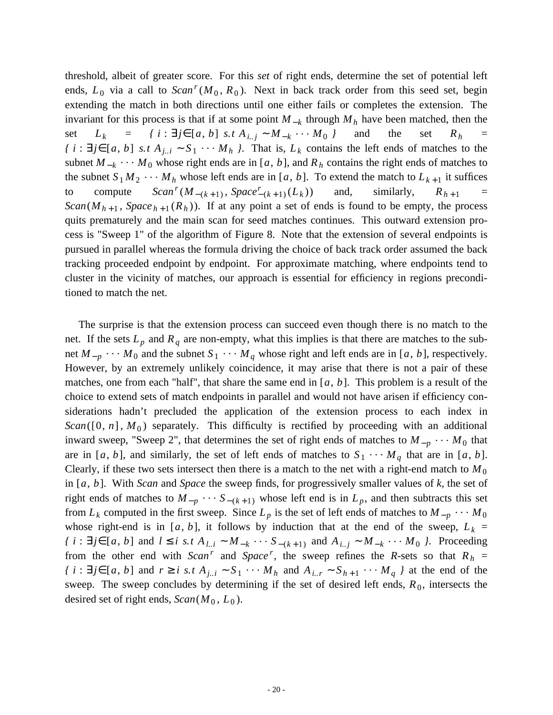threshold, albeit of greater score. For this *set* of right ends, determine the set of potential left ends,  $L_0$  via a call to  $Scan^r(M_0, R_0)$ . Next in back track order from this seed set, beging extending the match in both directions until one either fails or completes the extension. The invariant for this process is that if at some point  $M_{-k}$  through  $M_h$  have been matched, then the set  $L_k = \{ i : \exists j \in [a, b] \text{ s.t } A_{i,j} \sim M_{-k} \cdots M_0 \}$  and the set  $R_h =$ *f i* : ∃*j*∈[*a*, *b*] *s.t*  $A_{j..i}$  ∼  $S_1$  · · ·  $M_h$  *}*. That is,  $L_k$  contains the left ends of matches to the subnet  $M_{-k}$  · · ·  $M_0$  whose right ends are in [*a*, *b*], and  $R_h$  contains the right ends of matches to the subnet  $S_1 M_2 \cdots M_h$  whose left ends are in [a, b]. To extend the match to  $L_{k+1}$  it suffices to compute  $(M_{-(k+1)}, Space^{r}_{-(k+1)} (L_k))$ and, similarly,  $R_{h+1}$  = *Scan*( $M_{h+1}$ , *Space*  $_{h+1}(R_h)$ ). If at any point a set of ends is found to be empty, the process quits prematurely and the main scan for seed matches continues. This outward extension process is "Sweep 1" of the algorithm of Figure 8. Note that the extension of several endpoints is pursued in parallel whereas the formula driving the choice of back track order assumed the back tracking proceeded endpoint by endpoint. For approximate matching, where endpoints tend to cluster in the vicinity of matches, our approach is essential for efficiency in regions preconditioned to match the net.

The surprise is that the extension process can succeed even though there is no match to the net. If the sets  $L_p$  and  $R_q$  are non-empty, what this implies is that there are matches to the subnet  $M_{-p}$  · · ·  $M_0$  and the subnet  $S_1$  · · ·  $M_q$  whose right and left ends are in [*a*, *b*], respectively. However, by an extremely unlikely coincidence, it may arise that there is not a pair of these matches, one from each "half", that share the same end in [*a*, *b*]. This problem is a result of the choice to extend sets of match endpoints in parallel and would not have arisen if efficiency considerations hadn't precluded the application of the extension process to each index in  $Scan([0, n], M_0)$  separately. This difficulty is rectified by proceeding with an additional inward sweep, "Sweep 2", that determines the set of right ends of matches to  $M_{-p}$   $\cdots$   $M_0$  that are in [a, b], and similarly, the set of left ends of matches to  $S_1 \cdots M_q$  that are in [a, b]. Clearly, if these two sets intersect then there is a match to the net with a right-end match to  $M_0$ in [*a*, *b*]. With *Scan* and *Space* the sweep finds, for progressively smaller values of *k*, the set of right ends of matches to  $M_{-p}$  · · ·  $S_{-(k+1)}$  whose left end is in  $L_p$ , and then subtracts this set from  $L_k$  computed in the first sweep. Since  $L_p$  is the set of left ends of matches to  $M_{-p}$  · · ·  $M_0$ whose right-end is in [a, b], it follows by induction that at the end of the sweep,  $L_k =$  $\{i : \exists j \in [a, b] \text{ and } l \le i \text{ s.t } A_{l,i} \sim M_{-k} \cdots S_{-(k+1)} \text{ and } A_{i,j} \sim M_{-k} \cdots M_0 \}$ . Proceeding from the other end with *Scan<sup>r</sup>* and *Space<sup>r</sup>*, the sweep refines the *R*-sets so that  $R_h$  =  $\{i : \exists j \in [a, b] \text{ and } r \ge i \text{ s.t } A_{j,i} \sim S_1 \cdots M_h \text{ and } A_{i,j} \sim S_{h+1} \cdots M_q \}$  at the end of the sweep. The sweep concludes by determining if the set of desired left ends,  $R_0$ , intersects the desired set of right ends,  $Scan(M_0, L_0)$ .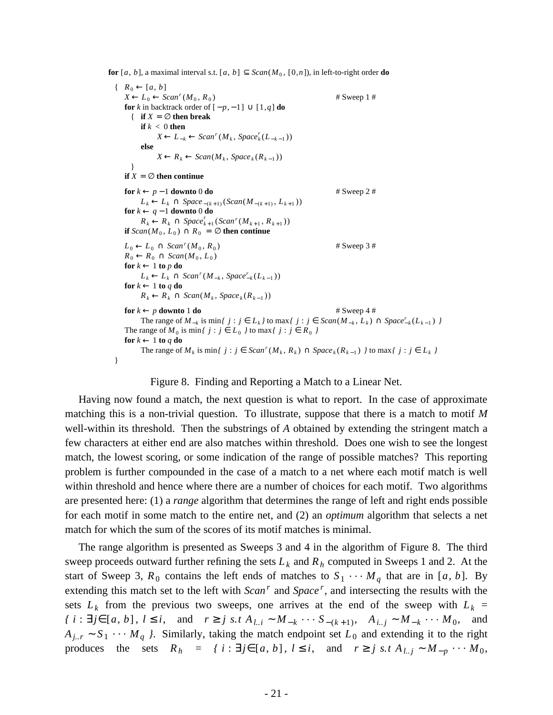**for** [*a*, *b*], a maximal interval s.t. [*a*, *b*]  $\subseteq$  *Scan*( $M_0$ , [0,*n*]), in left-to-right order **do** 

```
\{ R_0 \leftarrow [a, b]X ← L_0 ← Scan<sup>r</sup> (M_0, R_0# Sweep 1 #for k in backtrack order of [-p, -1] \cup [1, q] do
      \{ if X = \emptyset then break
          if k < 0 then
                 X ← L<sub>−k</sub> ← Scan<sup><i>r</sup>(M_k, Space<sup>k</sup><sub>(</sub>(L_{-k-1}))
          else
                 X \leftarrow R_k \leftarrow \text{Scan}(M_k, \text{Space}_k(R_{k-1}))}
   if X = \emptyset then continue
   for k \leftarrow p - 1 downto 0 do # Sweep 2 #
           L<sup>k</sup> ← L<sup>k</sup> ∩ Space − (k+1)</sub> (Scan(M<sub>−(k+1)</sub>, L<sub>k+1</sub>))
    for k ← q − 1 downto 0 do
           R_k \leftarrow R_k \cap Space_{k+1}^r(Scan^r(M_{k+1}, R_{k+1}))if Scan(M_0, L_0) \cap R_0 = \emptyset then continue
    L_0 \leftarrow L_0 \cap \text{Scan}^r(M_0, R_0)# Sweep 3 #R_0 \leftarrow R_0 \cap \text{Scan}(M_0, L_0)for k \leftarrow 1 to p do
           L<sup>k</sup> ← L<sup>k</sup> ∩ Scan<sup><i>r</sup>(M_{-k}, Space<sup>r</sup><sub>k</sub>(L_{k-1}))
   for k \leftarrow 1 to q do
           R_k \leftarrow R_k \cap \text{Scan}(M_k, \text{Space}_k(R_{k-1}))for k \leftarrow p downto 1 do # Sweep 4 #
           The range of M_{-k} is min\{j : j \in L_k\} to max\{j : j \in \text{Scan}(M_{-k}, L_k) \cap \text{Space}_{-k}^r(L_{k-1})\}The range of M_0 is min/ j : j \in L_0 } to max/ j : j \in R_0 }
   for k \leftarrow 1 to q do
           The range of M_k is min\{j : j \in \text{Scan}^r(M_k, R_k) \cap \text{Space}_k(R_{k-1})\} to max\{j : j \in L_k\}}
```
## Figure 8. Finding and Reporting a Match to a Linear Net.

Having now found a match, the next question is what to report. In the case of approximate matching this is a non-trivial question. To illustrate, suppose that there is a match to motif *M* well-within its threshold. Then the substrings of *A* obtained by extending the stringent match a few characters at either end are also matches within threshold. Does one wish to see the longest match, the lowest scoring, or some indication of the range of possible matches? This reporting problem is further compounded in the case of a match to a net where each motif match is well within threshold and hence where there are a number of choices for each motif. Two algorithms are presented here: (1) a *range* algorithm that determines the range of left and right ends possible for each motif in some match to the entire net, and (2) an *optimum* algorithm that selects a net match for which the sum of the scores of its motif matches is minimal.

The range algorithm is presented as Sweeps 3 and 4 in the algorithm of Figure 8. The third sweep proceeds outward further refining the sets  $L_k$  and  $R_h$  computed in Sweeps 1 and 2. At the start of Sweep 3,  $R_0$  contains the left ends of matches to  $S_1 \cdots M_q$  that are in [a, b]. By extending this match set to the left with *Scan<sup>r</sup>* and *Space<sup>r</sup>*, and intersecting the results with the sets  $L_k$  from the previous two sweeps, one arrives at the end of the sweep with  $L_k =$  $\{i : \exists j \in [a, b], l \le i, \text{ and } r \ge j \text{ s.t } A_{l,i} \sim M_{-k} \cdots S_{-(k+1)}, A_{i,j} \sim M_{-k} \cdots M_0, \text{ and }$  $A_{j..r} \sim S_1 \cdots M_q$  *}*. Similarly, taking the match endpoint set  $L_0$  and extending it to the right produces the sets  $R_h = \{ i : \exists j \in [a, b], l \le i, \text{ and } r \ge j \text{ s.t } A_{l,j} \sim M_{-p} \cdots M_0,$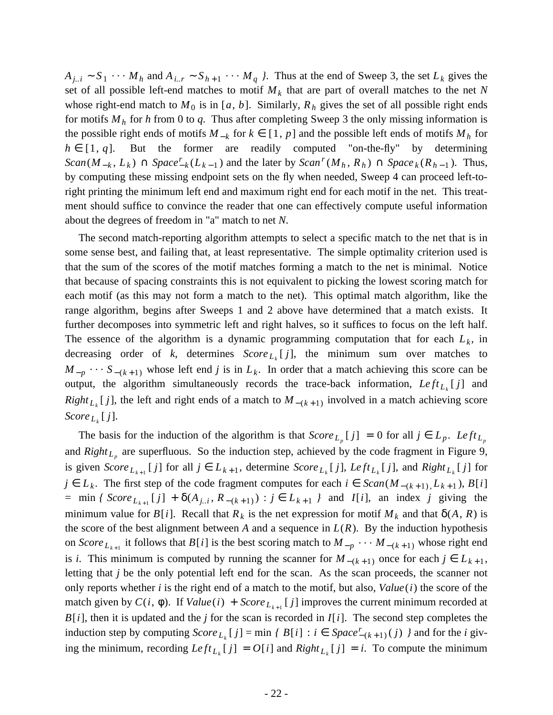$A_{j,i}$  ∼  $S_1$  · · · *M<sub>h</sub>* and  $A_{i,j}$  ∼  $S_{h+1}$  · · · *M<sub>q</sub> }*. Thus at the end of Sweep 3, the set  $L_k$  gives the set of all possible left-end matches to motif *M<sup>k</sup>* that are part of overall matches to the net *N* whose right-end match to  $M_0$  is in [a, b]. Similarly,  $R_h$  gives the set of all possible right ends for motifs *M<sup>h</sup>* for *h* from 0 to *q*. Thus after completing Sweep 3 the only missing information is the possible right ends of motifs  $M_{-k}$  for  $k \in [1, p]$  and the possible left ends of motifs  $M_h$  for  $h \in [1, q]$ . But the former are readily computed "on-the-fly" by determining  $Scan(M_{-k}, L_k) \cap Space_{-k}^{r}(L_{k-1})$  and the later by  $Scan^{r}(M_h, R_h) \cap Space_k(R_{h-1})$ . Thus, by computing these missing endpoint sets on the fly when needed, Sweep 4 can proceed left-toright printing the minimum left end and maximum right end for each motif in the net. This treatment should suffice to convince the reader that one can effectively compute useful information about the degrees of freedom in "a" match to net *N*.

The second match-reporting algorithm attempts to select a specific match to the net that is in some sense best, and failing that, at least representative. The simple optimality criterion used is that the sum of the scores of the motif matches forming a match to the net is minimal. Notice that because of spacing constraints this is not equivalent to picking the lowest scoring match for each motif (as this may not form a match to the net). This optimal match algorithm, like the range algorithm, begins after Sweeps 1 and 2 above have determined that a match exists. It further decomposes into symmetric left and right halves, so it suffices to focus on the left half. The essence of the algorithm is a dynamic programming computation that for each  $L_k$ , in decreasing order of  $k$ , determines  $Score_{L_k}[j]$ , the minimum sum over matches to  $M_{-p}$   $\cdots$  *S*<sub>−(*k*+1)</sub> whose left end *j* is in  $L_k$ . In order that a match achieving this score can be output, the algorithm simultaneously records the trace-back information,  $Left_{L_k}[j]$  and *Right*<sub>L<sub>k</sub></sub> [*j*], the left and right ends of a match to  $M_{-(k+1)}$  involved in a match achieving score *Score <sup>L</sup><sup>k</sup>* [ *j*].

The basis for the induction of the algorithm is that  $Score_{L_p}[j] = 0$  for all  $j \in L_p$ . Left<sub> $L_p$ </sub> and  $Right_{L_p}$  are superfluous. So the induction step, achieved by the code fragment in Figure 9, is given  $Score_{L_{k+1}}[j]$  for all  $j \in L_{k+1}$ , determine  $Score_{L_k}[j]$ ,  $Left_{L_k}[j]$ , and  $Right_{L_k}[j]$  for *j* ∈  $L_k$ . The first step of the code fragment computes for each  $i \in \text{Scan}(M_{-(k+1)}, L_{k+1})$ ,  $B[i]$  $=$  min *{ Score*  $L_{k+1}$  [*j*] +  $\delta(A_{j..i}, R_{-(k+1)})$  :  $j \in L_{k+1}$  *}* and *I*[*i*], an index *j* giving the minimum value for  $B[i]$ . Recall that  $R_k$  is the net expression for motif  $M_k$  and that  $\delta(A, R)$  is the score of the best alignment between *A* and a sequence in  $L(R)$ . By the induction hypothesis on *Score*  $L_{k+1}$  it follows that  $B[i]$  is the best scoring match to  $M_{-p}$   $\cdots$   $M_{-(k+1)}$  whose right end is *i*. This minimum is computed by running the scanner for  $M_{-(k+1)}$  once for each  $j \in L_{k+1}$ , letting that *j* be the only potential left end for the scan. As the scan proceeds, the scanner not only reports whether *i* is the right end of a match to the motif, but also, *Value*( $i$ ) the score of the match given by  $C(i, \phi)$ . If  $Value(i) + Score_{L_{k+1}}[j]$  improves the current minimum recorded at  $B[i]$ , then it is updated and the *j* for the scan is recorded in  $I[i]$ . The second step completes the induction step by computing  $Score_{L_k}[j] = \min \{B[i] : i \in Space_{-(k+1)}^{r}(j) \}$  and for the *i* giving the minimum, recording  $Left_{L_k}[j] = O[i]$  and  $Right_{L_k}[j] = i$ . To compute the minimum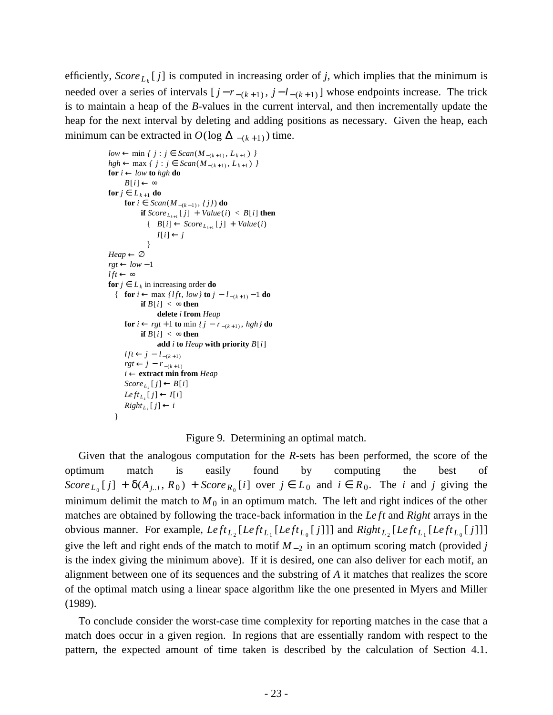efficiently, *Score*  $L_k$  [j] is computed in increasing order of j, which implies that the minimum is needed over a series of intervals  $[j - r_{-(k+1)}, j - l_{-(k+1)}]$  whose endpoints increase. The trick is to maintain a heap of the *B*-values in the current interval, and then incrementally update the heap for the next interval by deleting and adding positions as necessary. Given the heap, each minimum can be extracted in  $O(\log \Delta_{-(k+1)})$  time.

```
low \leftarrow \min \{ j : j \in \text{Scan}(M_{-(k+1)}, L_{k+1}) \}hgh ← max \{ j : j \in \text{Scan}(M_{-(k+1)}, L_{k+1}) \}for i \leftarrow low to hgh do
      B[i] \leftarrow \inftyfor j \in L_{k+1} do
      for i ∈ Scan(M_{-(k+1)}, {j}) do
             if Score_{L_{k+1}}[j] + Value(i) < B[i] then
                \{ B[i] \leftarrow Score_{L_{k+1}}[j] + Value(i)I[i] \leftarrow j}
Heap \leftarrow \varnothingrgt \leftarrow low-1l ft \leftarrow \inftyfor j \in L_k in increasing order do
  { for i ← max {l ft, low} to j − l − (k + 1) − 1 do
             if B[i] < \infty then
                   delete i from Heap
      for i \leftarrow \text{rg}t + 1 to min \{j - r_{-(k+1)}, \text{hgh}\} do
             if B[i] < \infty then
                   add i to Heap with priority B[i]
      lft ← j – l_{-(k+1)}rgt ← j - r<sup>-(k+1)</sup>
      i ← extract min from Heap
       Score_{L_k}[j] \leftarrow B[i]Left_{L_k}[j] \leftarrow I[i]Right_{L_k}[j] \leftarrow i}
```
Figure 9. Determining an optimal match.

Given that the analogous computation for the *R*-sets has been performed, the score of the optimum match is easily found by computing the best of *Score*  $L_0$  [*j*] +  $\delta(A_{j..i}, R_0)$  + *Score*  $R_0$  [*i*] over  $j \in L_0$  and  $i \in R_0$ . The *i* and *j* giving the minimum delimit the match to  $M_0$  in an optimum match. The left and right indices of the other matches are obtained by following the trace-back information in the *Le ft* and *Right* arrays in the obvious manner. For example,  $Left_{L_2}[Left_{L_1}[Left_{L_0}[j]]]$  and  $Right_{L_2}[Left_{L_1}[Left_{L_0}[j]]]$ give the left and right ends of the match to motif  $M_{-2}$  in an optimum scoring match (provided *j* is the index giving the minimum above). If it is desired, one can also deliver for each motif, an alignment between one of its sequences and the substring of *A* it matches that realizes the score of the optimal match using a linear space algorithm like the one presented in Myers and Miller (1989).

To conclude consider the worst-case time complexity for reporting matches in the case that a match does occur in a given region. In regions that are essentially random with respect to the pattern, the expected amount of time taken is described by the calculation of Section 4.1.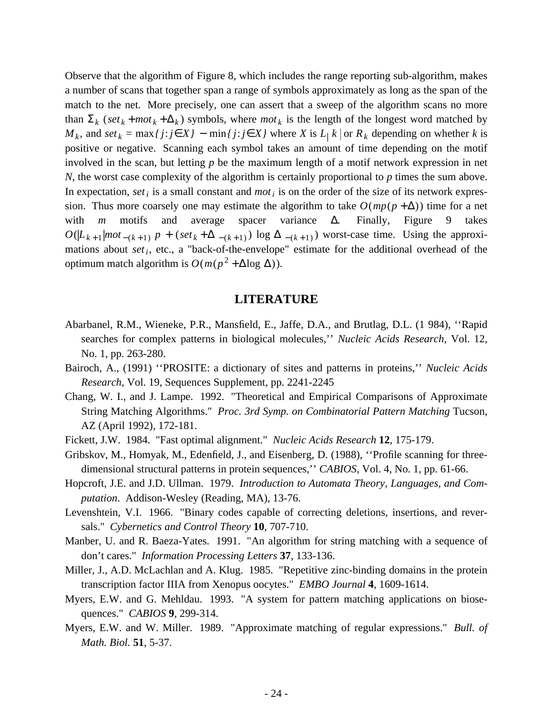Observe that the algorithm of Figure 8, which includes the range reporting sub-algorithm, makes a number of scans that together span a range of symbols approximately as long as the span of the match to the net. More precisely, one can assert that a sweep of the algorithm scans no more than  $\Sigma_k$  (*set*<sub>k</sub> + *mot*<sub>k</sub> +  $\Delta_k$ ) symbols, where *mot*<sub>k</sub> is the length of the longest word matched by *M*<sub>*k*</sub>, and *set*<sub>*k*</sub> = max{ $j$ :  $j \in X$ } − min{ $j$ :  $j \in X$ } where  $X$  is  $L$ <sub>|</sub> $k$  | or  $R$ <sub> $k$ </sub> depending on whether  $k$  is positive or negative. Scanning each symbol takes an amount of time depending on the motif involved in the scan, but letting *p* be the maximum length of a motif network expression in net *N*, the worst case complexity of the algorithm is certainly proportional to *p* times the sum above. In expectation, *set*<sub>*i*</sub> is a small constant and *mot*<sub>*i*</sub> is on the order of the size of its network expression. Thus more coarsely one may estimate the algorithm to take  $O(mp+\Delta))$  time for a net with *m* motifs and average spacer variance ∆. Finally, Figure 9 takes  $O(|L_{k+1}| mot_{-(k+1)} p + (set_k + \Delta_{-(k+1)}) log \Delta_{-(k+1)}$  worst-case time. Using the approximations about *set<sup>i</sup>* , etc., a "back-of-the-envelope" estimate for the additional overhead of the optimum match algorithm is  $O(m(p^2 + \Delta \log \Delta))$ .

## **LITERATURE**

- Abarbanel, R.M., Wieneke, P.R., Mansfield, E., Jaffe, D.A., and Brutlag, D.L. (1 984), ''Rapid searches for complex patterns in biological molecules,'' *Nucleic Acids Research*, Vol. 12, No. 1, pp. 263-280.
- Bairoch, A., (1991) ''PROSITE: a dictionary of sites and patterns in proteins,'' *Nucleic Acids Research*, Vol. 19, Sequences Supplement, pp. 2241-2245
- Chang, W. I., and J. Lampe. 1992. "Theoretical and Empirical Comparisons of Approximate String Matching Algorithms." *Proc. 3rd Symp. on Combinatorial Pattern Matching* Tucson, AZ (April 1992), 172-181.
- Fickett, J.W. 1984. "Fast optimal alignment." *Nucleic Acids Research* **12**, 175-179.
- Gribskov, M., Homyak, M., Edenfield, J., and Eisenberg, D. (1988), ''Profile scanning for threedimensional structural patterns in protein sequences,'' *CABIOS*, Vol. 4, No. 1, pp. 61-66.
- Hopcroft, J.E. and J.D. Ullman. 1979. *Introduction to Automata Theory, Languages, and Computation*. Addison-Wesley (Reading, MA), 13-76.
- Levenshtein, V.I. 1966. "Binary codes capable of correcting deletions, insertions, and reversals." *Cybernetics and Control Theory* **10**, 707-710.
- Manber, U. and R. Baeza-Yates. 1991. "An algorithm for string matching with a sequence of don't cares." *Information Processing Letters* **37**, 133-136.
- Miller, J., A.D. McLachlan and A. Klug. 1985. "Repetitive zinc-binding domains in the protein transcription factor IIIA from Xenopus oocytes." *EMBO Journal* **4**, 1609-1614.
- Myers, E.W. and G. Mehldau. 1993. "A system for pattern matching applications on biosequences." *CABIOS* **9**, 299-314.
- Myers, E.W. and W. Miller. 1989. "Approximate matching of regular expressions." *Bull. of Math. Biol.* **51**, 5-37.